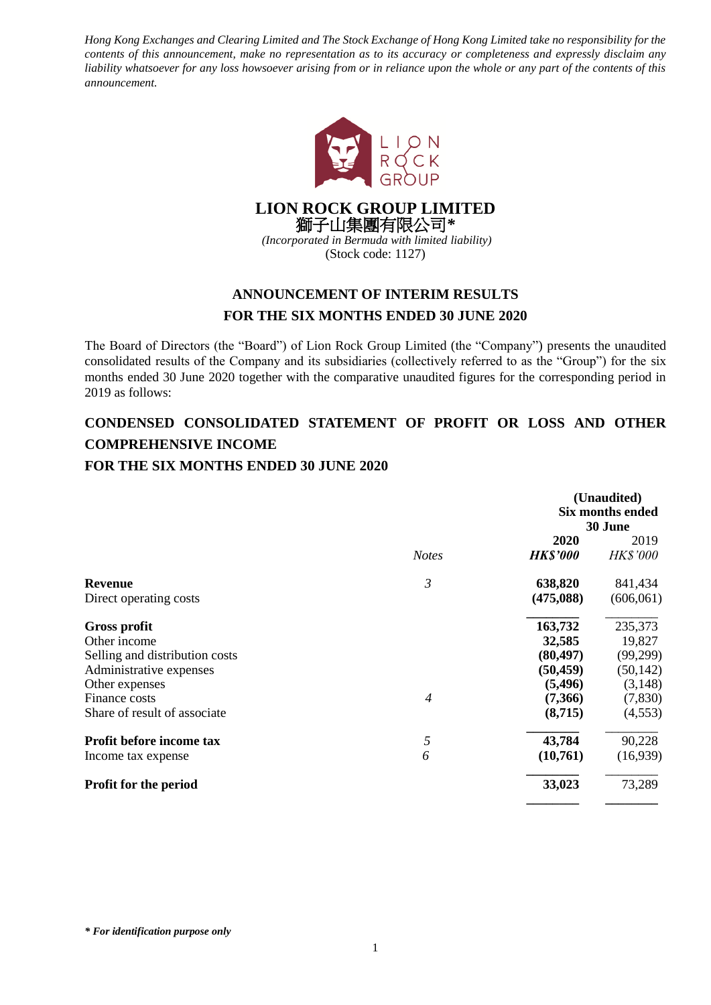*Hong Kong Exchanges and Clearing Limited and The Stock Exchange of Hong Kong Limited take no responsibility for the contents of this announcement, make no representation as to its accuracy or completeness and expressly disclaim any liability whatsoever for any loss howsoever arising from or in reliance upon the whole or any part of the contents of this announcement.*



**LION ROCK GROUP LIMITED** 獅子山集團有限公司*\* (Incorporated in Bermuda with limited liability)*

(Stock code: 1127)

## **ANNOUNCEMENT OF INTERIM RESULTS FOR THE SIX MONTHS ENDED 30 JUNE 2020**

The Board of Directors (the "Board") of Lion Rock Group Limited (the "Company") presents the unaudited consolidated results of the Company and its subsidiaries (collectively referred to as the "Group") for the six months ended 30 June 2020 together with the comparative unaudited figures for the corresponding period in 2019 as follows:

## **CONDENSED CONSOLIDATED STATEMENT OF PROFIT OR LOSS AND OTHER COMPREHENSIVE INCOME FOR THE SIX MONTHS ENDED 30 JUNE 2020**

|                                |                | (Unaudited)<br><b>Six months ended</b><br>30 June |                         |  |
|--------------------------------|----------------|---------------------------------------------------|-------------------------|--|
|                                | <b>Notes</b>   | 2020<br><b>HK\$'000</b>                           | 2019<br><b>HK\$'000</b> |  |
| <b>Revenue</b>                 | 3              | 638,820                                           | 841,434                 |  |
| Direct operating costs         |                | (475,088)                                         | (606, 061)              |  |
| Gross profit                   |                | 163,732                                           | 235,373                 |  |
| Other income                   |                | 32,585                                            | 19,827                  |  |
| Selling and distribution costs |                | (80, 497)                                         | (99,299)                |  |
| Administrative expenses        |                | (50, 459)                                         | (50, 142)               |  |
| Other expenses                 |                | (5, 496)                                          | (3, 148)                |  |
| Finance costs                  | $\overline{4}$ | (7,366)                                           | (7, 830)                |  |
| Share of result of associate   |                | (8,715)                                           | (4,553)                 |  |
| Profit before income tax       | 5              | 43,784                                            | 90,228                  |  |
| Income tax expense             | 6              | (10,761)                                          | (16,939)                |  |
| <b>Profit for the period</b>   |                | 33,023                                            | 73,289                  |  |
|                                |                |                                                   |                         |  |

*\* For identification purpose only*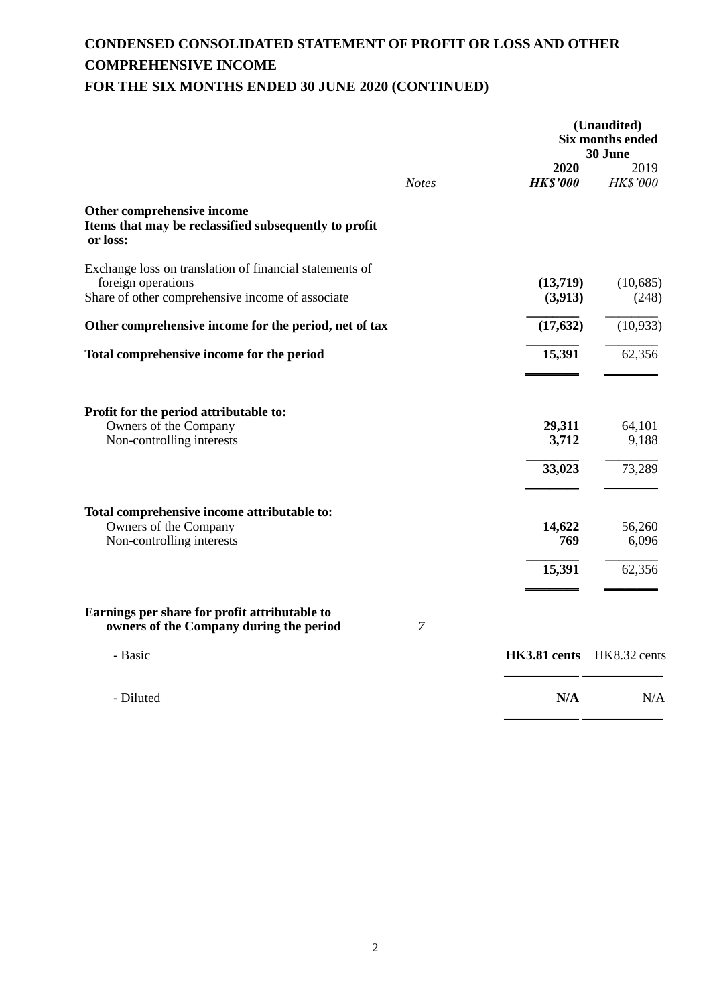# **CONDENSED CONSOLIDATED STATEMENT OF PROFIT OR LOSS AND OTHER COMPREHENSIVE INCOME FOR THE SIX MONTHS ENDED 30 JUNE 2020 (CONTINUED)**

|                                                                                                                                   |                | (Unaudited)<br><b>Six months ended</b><br>30 June |                         |  |
|-----------------------------------------------------------------------------------------------------------------------------------|----------------|---------------------------------------------------|-------------------------|--|
|                                                                                                                                   | <b>Notes</b>   | 2020<br><b>HK\$'000</b>                           | 2019<br><b>HK\$'000</b> |  |
| Other comprehensive income<br>Items that may be reclassified subsequently to profit<br>or loss:                                   |                |                                                   |                         |  |
| Exchange loss on translation of financial statements of<br>foreign operations<br>Share of other comprehensive income of associate |                | (13,719)<br>(3,913)                               | (10,685)<br>(248)       |  |
| Other comprehensive income for the period, net of tax                                                                             |                | (17, 632)                                         | (10, 933)               |  |
| Total comprehensive income for the period                                                                                         |                | 15,391                                            | 62,356                  |  |
| Profit for the period attributable to:<br>Owners of the Company                                                                   |                | 29,311                                            | 64,101                  |  |
| Non-controlling interests                                                                                                         |                | 3,712<br>33,023                                   | 9,188<br>73,289         |  |
| Total comprehensive income attributable to:<br>Owners of the Company<br>Non-controlling interests                                 |                | 14,622<br>769                                     | 56,260<br>6,096         |  |
|                                                                                                                                   |                | 15,391                                            | 62,356                  |  |
| Earnings per share for profit attributable to<br>owners of the Company during the period                                          | $\overline{7}$ |                                                   |                         |  |
| - Basic                                                                                                                           |                | HK3.81 cents HK8.32 cents                         |                         |  |
| - Diluted                                                                                                                         |                | N/A                                               | N/A                     |  |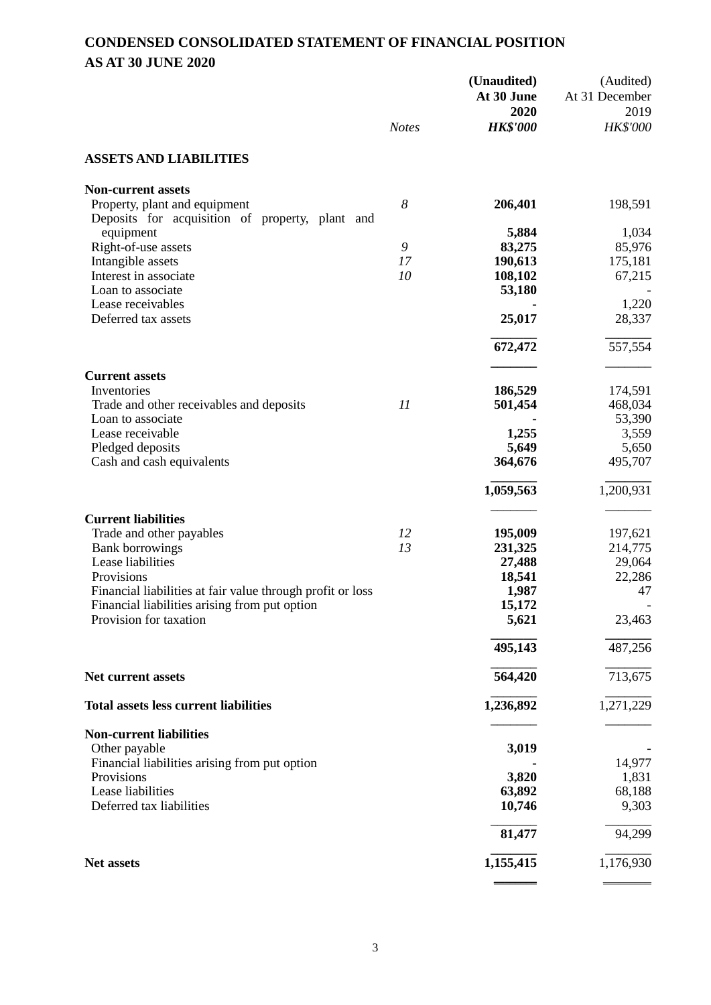## **CONDENSED CONSOLIDATED STATEMENT OF FINANCIAL POSITION AS AT 30 JUNE 2020**

|                                                                                                             | <b>Notes</b> | (Unaudited)<br>At 30 June<br>2020<br><b>HK\$'000</b> | (Audited)<br>At 31 December<br>2019<br>HK\$'000 |
|-------------------------------------------------------------------------------------------------------------|--------------|------------------------------------------------------|-------------------------------------------------|
|                                                                                                             |              |                                                      |                                                 |
| <b>ASSETS AND LIABILITIES</b>                                                                               |              |                                                      |                                                 |
| <b>Non-current assets</b>                                                                                   |              |                                                      |                                                 |
| Property, plant and equipment<br>Deposits for acquisition of property, plant and                            | 8            | 206,401                                              | 198,591                                         |
| equipment                                                                                                   |              | 5,884                                                | 1,034                                           |
| Right-of-use assets                                                                                         | 9            | 83,275                                               | 85,976                                          |
| Intangible assets<br>Interest in associate                                                                  | 17<br>10     | 190,613<br>108,102                                   | 175,181<br>67,215                               |
| Loan to associate                                                                                           |              | 53,180                                               |                                                 |
| Lease receivables                                                                                           |              |                                                      | 1,220                                           |
| Deferred tax assets                                                                                         |              | 25,017                                               | 28,337                                          |
|                                                                                                             |              | 672,472                                              | 557,554                                         |
|                                                                                                             |              |                                                      |                                                 |
| <b>Current assets</b><br>Inventories                                                                        |              | 186,529                                              | 174,591                                         |
| Trade and other receivables and deposits                                                                    | 11           | 501,454                                              | 468,034                                         |
| Loan to associate                                                                                           |              |                                                      | 53,390                                          |
| Lease receivable                                                                                            |              | 1,255                                                | 3,559                                           |
| Pledged deposits                                                                                            |              | 5,649                                                | 5,650                                           |
| Cash and cash equivalents                                                                                   |              | 364,676                                              | 495,707                                         |
|                                                                                                             |              | 1,059,563                                            | 1,200,931                                       |
| <b>Current liabilities</b>                                                                                  |              |                                                      |                                                 |
| Trade and other payables                                                                                    | 12           | 195,009                                              | 197,621                                         |
| <b>Bank borrowings</b>                                                                                      | 13           | 231,325                                              | 214,775                                         |
| Lease liabilities                                                                                           |              | 27,488                                               | 29,064                                          |
| Provisions                                                                                                  |              | 18,541                                               | 22,286<br>47                                    |
| Financial liabilities at fair value through profit or loss<br>Financial liabilities arising from put option |              | 1,987<br>15,172                                      |                                                 |
| Provision for taxation                                                                                      |              | 5,621                                                | 23,463                                          |
|                                                                                                             |              |                                                      |                                                 |
|                                                                                                             |              | 495,143                                              | 487,256                                         |
| Net current assets                                                                                          |              | 564,420                                              | 713,675                                         |
| <b>Total assets less current liabilities</b>                                                                |              | 1,236,892                                            | 1,271,229                                       |
| <b>Non-current liabilities</b>                                                                              |              |                                                      |                                                 |
| Other payable                                                                                               |              | 3,019                                                |                                                 |
| Financial liabilities arising from put option                                                               |              |                                                      | 14,977                                          |
| Provisions                                                                                                  |              | 3,820                                                | 1,831                                           |
| Lease liabilities                                                                                           |              | 63,892                                               | 68,188                                          |
| Deferred tax liabilities                                                                                    |              | 10,746                                               | 9,303                                           |
|                                                                                                             |              | 81,477                                               | 94,299                                          |
| Net assets                                                                                                  |              | 1,155,415                                            | 1,176,930                                       |
|                                                                                                             |              |                                                      |                                                 |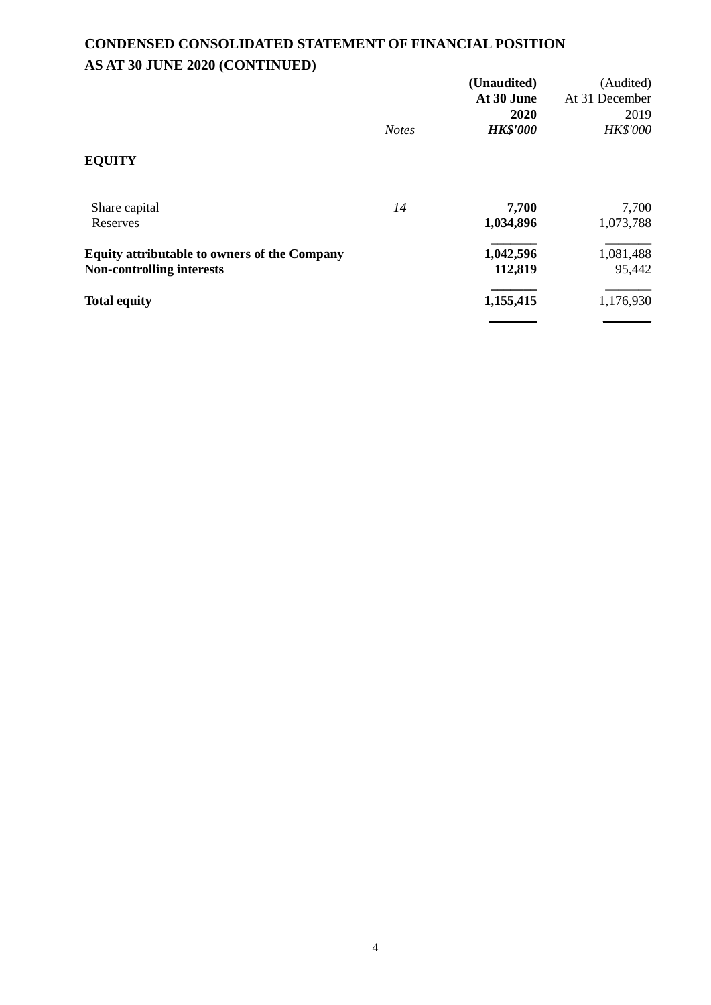# **CONDENSED CONSOLIDATED STATEMENT OF FINANCIAL POSITION AS AT 30 JUNE 2020 (CONTINUED)**

|                                                     |              | (Unaudited)<br>At 30 June | (Audited)<br>At 31 December |
|-----------------------------------------------------|--------------|---------------------------|-----------------------------|
|                                                     | <b>Notes</b> | 2020<br><b>HK\$'000</b>   | 2019<br><b>HK\$'000</b>     |
| <b>EQUITY</b>                                       |              |                           |                             |
| Share capital                                       | 14           | 7,700                     | 7,700                       |
| Reserves                                            |              | 1,034,896                 | 1,073,788                   |
| <b>Equity attributable to owners of the Company</b> |              | 1,042,596                 | 1,081,488                   |
| <b>Non-controlling interests</b>                    |              | 112,819                   | 95,442                      |
| <b>Total equity</b>                                 |              | 1,155,415                 | 1,176,930                   |
|                                                     |              |                           |                             |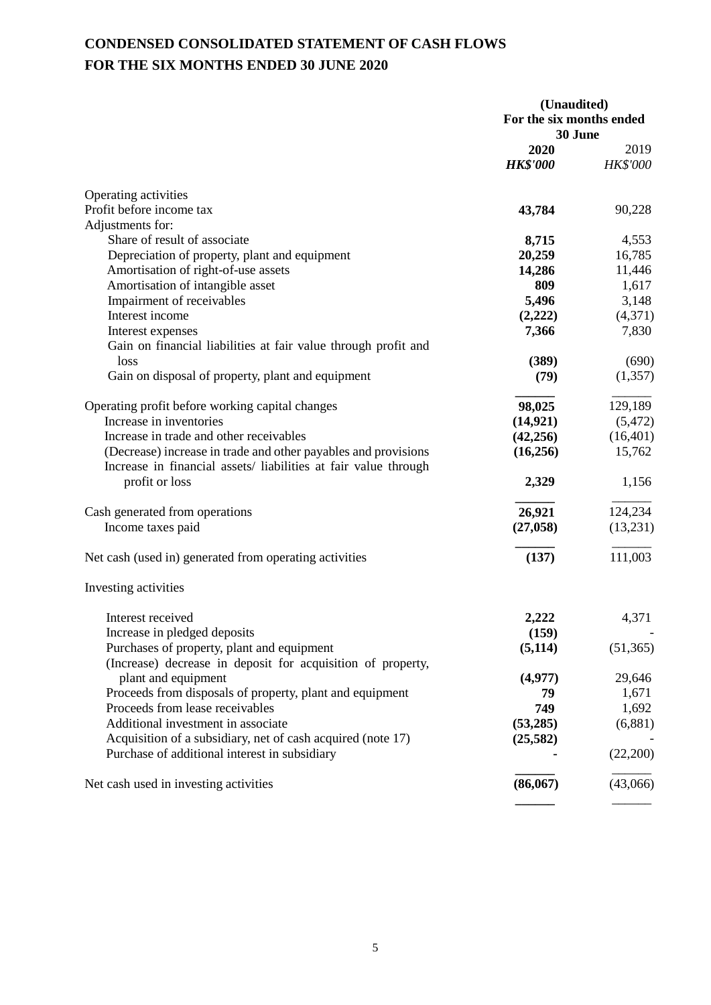# **CONDENSED CONSOLIDATED STATEMENT OF CASH FLOWS FOR THE SIX MONTHS ENDED 30 JUNE 2020**

|                                                                | (Unaudited)<br>For the six months ended<br>30 June |                 |  |
|----------------------------------------------------------------|----------------------------------------------------|-----------------|--|
|                                                                |                                                    |                 |  |
|                                                                |                                                    |                 |  |
|                                                                | 2020                                               | 2019            |  |
|                                                                | <b>HK\$'000</b>                                    | <b>HK\$'000</b> |  |
| Operating activities                                           |                                                    |                 |  |
| Profit before income tax                                       | 43,784                                             | 90,228          |  |
| Adjustments for:                                               |                                                    |                 |  |
| Share of result of associate                                   | 8,715                                              | 4,553           |  |
| Depreciation of property, plant and equipment                  | 20,259                                             | 16,785          |  |
| Amortisation of right-of-use assets                            | 14,286                                             | 11,446          |  |
| Amortisation of intangible asset                               | 809                                                | 1,617           |  |
| Impairment of receivables                                      | 5,496                                              | 3,148           |  |
| Interest income                                                | (2,222)                                            | (4,371)         |  |
| Interest expenses                                              | 7,366                                              | 7,830           |  |
| Gain on financial liabilities at fair value through profit and |                                                    |                 |  |
| loss                                                           | (389)                                              | (690)           |  |
| Gain on disposal of property, plant and equipment              | (79)                                               | (1,357)         |  |
| Operating profit before working capital changes                | 98,025                                             | 129,189         |  |
| Increase in inventories                                        | (14, 921)                                          | (5, 472)        |  |
| Increase in trade and other receivables                        | (42, 256)                                          | (16, 401)       |  |
| (Decrease) increase in trade and other payables and provisions | (16,256)                                           | 15,762          |  |
| Increase in financial assets/liabilities at fair value through |                                                    |                 |  |
| profit or loss                                                 | 2,329                                              | 1,156           |  |
| Cash generated from operations                                 | 26,921                                             | 124,234         |  |
| Income taxes paid                                              | (27, 058)                                          | (13,231)        |  |
|                                                                |                                                    |                 |  |
| Net cash (used in) generated from operating activities         | (137)                                              | 111,003         |  |
| Investing activities                                           |                                                    |                 |  |
| Interest received                                              | 2,222                                              | 4,371           |  |
| Increase in pledged deposits                                   | (159)                                              |                 |  |
| Purchases of property, plant and equipment                     | (5, 114)                                           | (51, 365)       |  |
| (Increase) decrease in deposit for acquisition of property,    |                                                    |                 |  |
| plant and equipment                                            | (4,977)                                            | 29,646          |  |
| Proceeds from disposals of property, plant and equipment       | 79                                                 | 1,671           |  |
| Proceeds from lease receivables                                | 749                                                | 1,692           |  |
| Additional investment in associate                             | (53,285)                                           | (6,881)         |  |
| Acquisition of a subsidiary, net of cash acquired (note 17)    | (25, 582)                                          |                 |  |
| Purchase of additional interest in subsidiary                  |                                                    | (22, 200)       |  |
| Net cash used in investing activities                          | (86,067)                                           | (43,066)        |  |
|                                                                |                                                    |                 |  |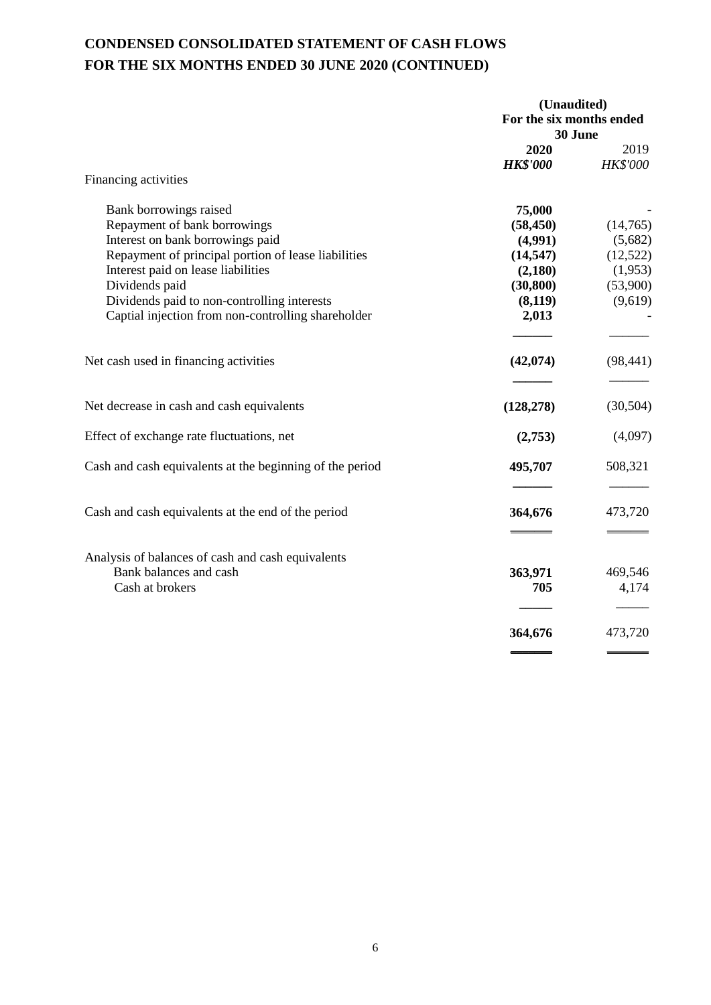# **CONDENSED CONSOLIDATED STATEMENT OF CASH FLOWS FOR THE SIX MONTHS ENDED 30 JUNE 2020 (CONTINUED)**

|                                                          | (Unaudited)<br>For the six months ended<br>30 June |                         |  |
|----------------------------------------------------------|----------------------------------------------------|-------------------------|--|
|                                                          |                                                    |                         |  |
|                                                          | 2020<br><b>HK\$'000</b>                            | 2019<br><b>HK\$'000</b> |  |
| Financing activities                                     |                                                    |                         |  |
| Bank borrowings raised                                   | 75,000                                             |                         |  |
| Repayment of bank borrowings                             | (58, 450)                                          | (14,765)                |  |
| Interest on bank borrowings paid                         | (4,991)                                            | (5,682)                 |  |
| Repayment of principal portion of lease liabilities      | (14, 547)                                          | (12,522)                |  |
| Interest paid on lease liabilities                       | (2,180)                                            | (1,953)                 |  |
| Dividends paid                                           | (30, 800)                                          | (53,900)                |  |
| Dividends paid to non-controlling interests              | (8,119)                                            | (9,619)                 |  |
| Captial injection from non-controlling shareholder       | 2,013                                              |                         |  |
| Net cash used in financing activities                    | (42, 074)                                          | (98, 441)               |  |
| Net decrease in cash and cash equivalents                | (128, 278)                                         | (30, 504)               |  |
| Effect of exchange rate fluctuations, net                | (2,753)                                            | (4,097)                 |  |
| Cash and cash equivalents at the beginning of the period | 495,707                                            | 508,321                 |  |
| Cash and cash equivalents at the end of the period       | 364,676                                            | 473,720                 |  |
|                                                          |                                                    |                         |  |
| Analysis of balances of cash and cash equivalents        |                                                    |                         |  |
| Bank balances and cash                                   | 363,971                                            | 469,546                 |  |
| Cash at brokers                                          | 705                                                | 4,174                   |  |
|                                                          | 364,676                                            | 473,720                 |  |
|                                                          |                                                    |                         |  |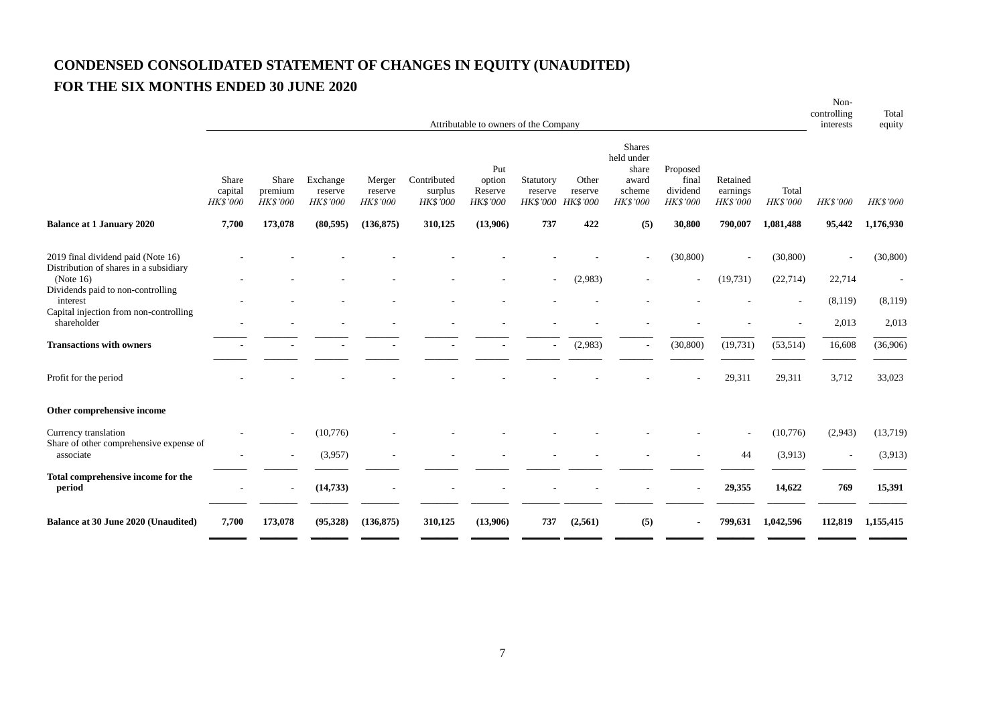# **CONDENSED CONSOLIDATED STATEMENT OF CHANGES IN EQUITY (UNAUDITED) FOR THE SIX MONTHS ENDED 30 JUNE 2020**

|                                                                              | Attributable to owners of the Company |                                     |                                 |                               |                                           |                                             |                                           |                  | controlling<br>interests                                                   | Total<br>equity                                  |                                         |                          |          |                 |
|------------------------------------------------------------------------------|---------------------------------------|-------------------------------------|---------------------------------|-------------------------------|-------------------------------------------|---------------------------------------------|-------------------------------------------|------------------|----------------------------------------------------------------------------|--------------------------------------------------|-----------------------------------------|--------------------------|----------|-----------------|
|                                                                              | Share<br>capital<br><b>HK\$'000</b>   | Share<br>premium<br><b>HK\$'000</b> | Exchange<br>reserve<br>HK\$'000 | Merger<br>reserve<br>HK\$'000 | Contributed<br>surplus<br><b>HK\$'000</b> | Put<br>option<br>Reserve<br><b>HK\$'000</b> | Statutory<br>reserve<br>HK\$'000 HK\$'000 | Other<br>reserve | <b>Shares</b><br>held under<br>share<br>award<br>scheme<br><b>HK\$'000</b> | Proposed<br>final<br>dividend<br><b>HK\$'000</b> | Retained<br>earnings<br><b>HK\$'000</b> | Total<br>HK\$'000        | HK\$'000 | <b>HK\$'000</b> |
| <b>Balance at 1 January 2020</b>                                             | 7,700                                 | 173,078                             | (80, 595)                       | (136, 875)                    | 310,125                                   | (13,906)                                    | 737                                       | 422              | (5)                                                                        | 30,800                                           | 790,007                                 | 1,081,488                | 95,442   | 1,176,930       |
| 2019 final dividend paid (Note 16)<br>Distribution of shares in a subsidiary |                                       |                                     |                                 |                               |                                           |                                             |                                           |                  |                                                                            | (30, 800)                                        |                                         | (30, 800)                |          | (30, 800)       |
| (Note $16$ )<br>Dividends paid to non-controlling                            |                                       |                                     |                                 |                               |                                           |                                             |                                           | (2,983)          |                                                                            |                                                  | (19,731)                                | (22, 714)                | 22,714   | $\sim$          |
| interest                                                                     |                                       |                                     |                                 |                               |                                           |                                             |                                           |                  |                                                                            |                                                  |                                         | $\overline{\phantom{a}}$ | (8,119)  | (8,119)         |
| Capital injection from non-controlling<br>shareholder                        |                                       |                                     |                                 |                               |                                           |                                             |                                           |                  |                                                                            |                                                  |                                         |                          | 2,013    | 2,013           |
| <b>Transactions with owners</b>                                              |                                       |                                     |                                 |                               |                                           |                                             |                                           | (2,983)          |                                                                            | (30, 800)                                        | (19,731)                                | (53, 514)                | 16,608   | (36,906)        |
| Profit for the period                                                        |                                       |                                     |                                 |                               |                                           |                                             |                                           |                  |                                                                            |                                                  | 29,311                                  | 29,311                   | 3,712    | 33,023          |
| Other comprehensive income                                                   |                                       |                                     |                                 |                               |                                           |                                             |                                           |                  |                                                                            |                                                  |                                         |                          |          |                 |
| Currency translation<br>Share of other comprehensive expense of              |                                       |                                     | (10,776)                        |                               |                                           |                                             |                                           |                  |                                                                            |                                                  |                                         | (10,776)                 | (2,943)  | (13,719)        |
| associate                                                                    |                                       |                                     | (3,957)                         |                               |                                           |                                             |                                           |                  |                                                                            |                                                  | 44                                      | (3,913)                  |          | (3,913)         |
| Total comprehensive income for the<br>period                                 |                                       |                                     | (14, 733)                       |                               |                                           |                                             |                                           |                  |                                                                            |                                                  | 29,355                                  | 14,622                   | 769      | 15,391          |
| <b>Balance at 30 June 2020 (Unaudited)</b>                                   | 7,700                                 | 173,078                             | (95,328)                        | (136, 875)                    | 310,125                                   | (13,906)                                    | 737                                       | (2,561)          | (5)                                                                        |                                                  | 799,631                                 | 1,042,596                | 112,819  | 1,155,415       |

Non-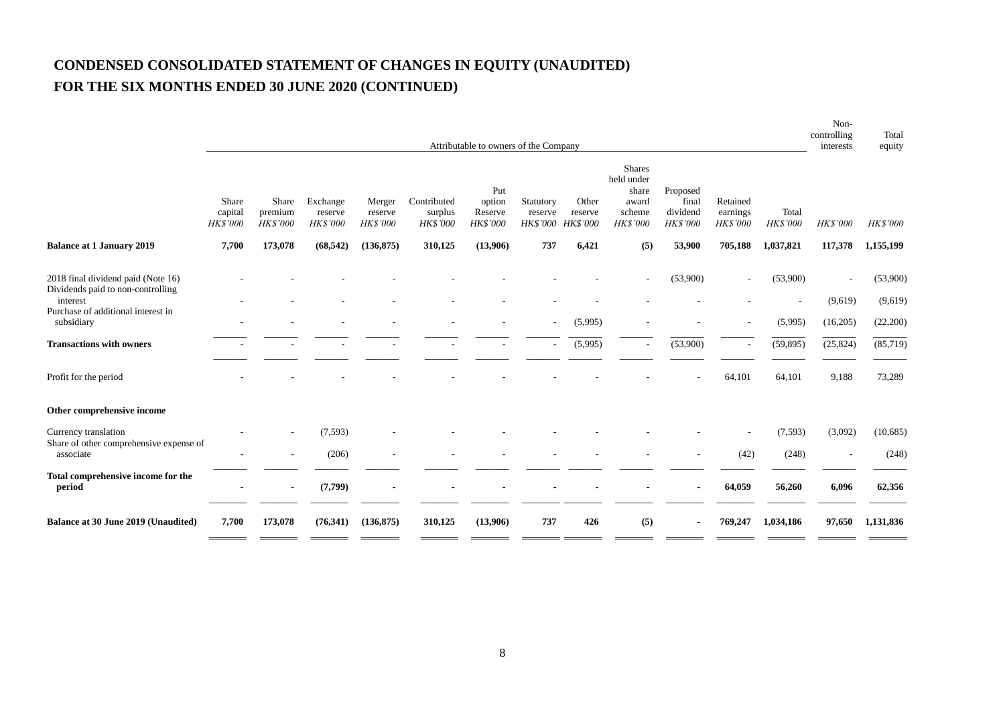# **CONDENSED CONSOLIDATED STATEMENT OF CHANGES IN EQUITY (UNAUDITED) FOR THE SIX MONTHS ENDED 30 JUNE 2020 (CONTINUED)**

|                                                                         | Attributable to owners of the Company |                                     |                                 |                               |                                    |                                             |                                         |                                     | Non-<br>controlling<br>interests                                           | Total<br>equity                                  |                                  |                   |           |                 |
|-------------------------------------------------------------------------|---------------------------------------|-------------------------------------|---------------------------------|-------------------------------|------------------------------------|---------------------------------------------|-----------------------------------------|-------------------------------------|----------------------------------------------------------------------------|--------------------------------------------------|----------------------------------|-------------------|-----------|-----------------|
|                                                                         | Share<br>capital<br><b>HKS'000</b>    | Share<br>premium<br><b>HK\$'000</b> | Exchange<br>reserve<br>HK\$'000 | Merger<br>reserve<br>HK\$'000 | Contributed<br>surplus<br>HK\$'000 | Put<br>option<br>Reserve<br><b>HK\$'000</b> | Statutory<br>reserve<br><b>HK\$'000</b> | Other<br>reserve<br><b>HK\$'000</b> | <b>Shares</b><br>held under<br>share<br>award<br>scheme<br><b>HK\$'000</b> | Proposed<br>final<br>dividend<br><b>HK\$'000</b> | Retained<br>earnings<br>HK\$'000 | Total<br>HK\$'000 | HK\$'000  | <b>HK\$'000</b> |
| <b>Balance at 1 January 2019</b>                                        | 7,700                                 | 173,078                             | (68, 542)                       | (136, 875)                    | 310,125                            | (13,906)                                    | 737                                     | 6,421                               | (5)                                                                        | 53,900                                           | 705,188                          | 1,037,821         | 117,378   | 1,155,199       |
| 2018 final dividend paid (Note 16)<br>Dividends paid to non-controlling |                                       |                                     |                                 |                               |                                    |                                             |                                         |                                     |                                                                            | (53,900)                                         | $\sim$                           | (53,900)          |           | (53,900)        |
| interest<br>Purchase of additional interest in                          |                                       |                                     |                                 |                               |                                    |                                             |                                         |                                     |                                                                            |                                                  |                                  |                   | (9,619)   | (9,619)         |
| subsidiary                                                              |                                       |                                     |                                 |                               |                                    |                                             |                                         | (5,995)                             |                                                                            |                                                  |                                  | (5,995)           | (16,205)  | (22,200)        |
| <b>Transactions with owners</b>                                         |                                       |                                     |                                 |                               |                                    |                                             |                                         | (5,995)                             |                                                                            | (53,900)                                         |                                  | (59, 895)         | (25, 824) | (85, 719)       |
| Profit for the period                                                   |                                       |                                     |                                 |                               |                                    |                                             |                                         |                                     |                                                                            |                                                  | 64,101                           | 64,101            | 9,188     | 73,289          |
| Other comprehensive income                                              |                                       |                                     |                                 |                               |                                    |                                             |                                         |                                     |                                                                            |                                                  |                                  |                   |           |                 |
| Currency translation<br>Share of other comprehensive expense of         |                                       |                                     | (7, 593)                        |                               |                                    |                                             |                                         |                                     |                                                                            |                                                  |                                  | (7, 593)          | (3,092)   | (10,685)        |
| associate                                                               |                                       |                                     | (206)                           |                               |                                    |                                             |                                         |                                     |                                                                            |                                                  | (42)                             | (248)             |           | (248)           |
| Total comprehensive income for the<br>period                            |                                       |                                     | (7, 799)                        |                               |                                    |                                             |                                         |                                     |                                                                            |                                                  | 64,059                           | 56,260            | 6,096     | 62,356          |
| <b>Balance at 30 June 2019 (Unaudited)</b>                              | 7,700                                 | 173,078                             | (76,341)                        | (136, 875)                    | 310,125                            | (13,906)                                    | 737                                     | 426                                 | (5)                                                                        |                                                  | 769,247                          | 1,034,186         | 97,650    | 1,131,836       |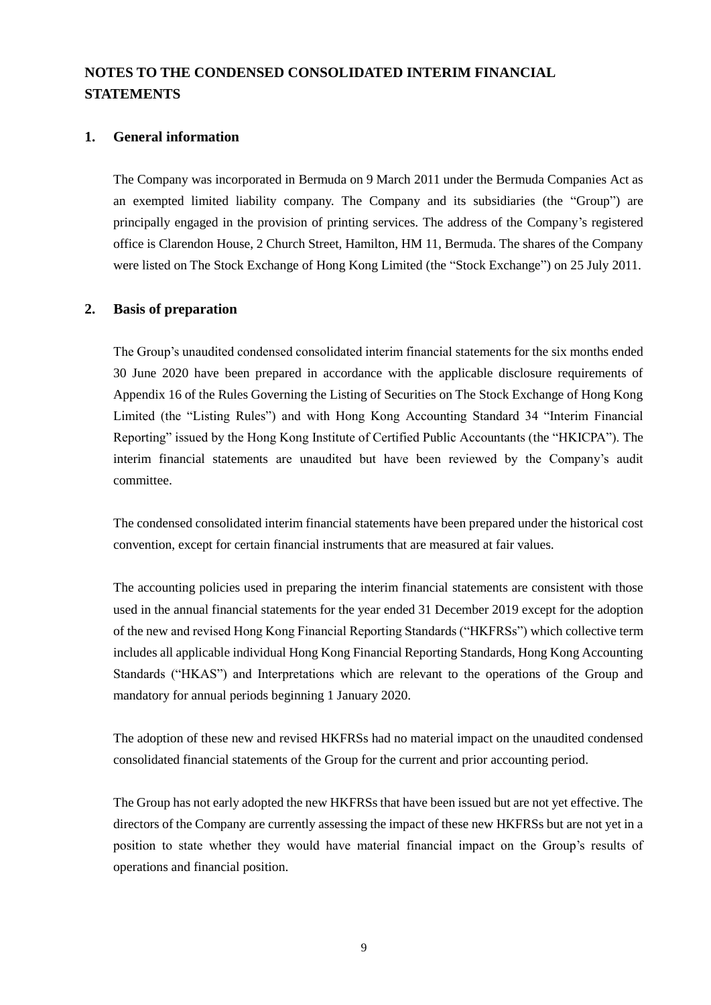## **NOTES TO THE CONDENSED CONSOLIDATED INTERIM FINANCIAL STATEMENTS**

#### **1. General information**

The Company was incorporated in Bermuda on 9 March 2011 under the Bermuda Companies Act as an exempted limited liability company. The Company and its subsidiaries (the "Group") are principally engaged in the provision of printing services. The address of the Company's registered office is Clarendon House, 2 Church Street, Hamilton, HM 11, Bermuda. The shares of the Company were listed on The Stock Exchange of Hong Kong Limited (the "Stock Exchange") on 25 July 2011.

#### **2. Basis of preparation**

The Group's unaudited condensed consolidated interim financial statements for the six months ended 30 June 2020 have been prepared in accordance with the applicable disclosure requirements of Appendix 16 of the Rules Governing the Listing of Securities on The Stock Exchange of Hong Kong Limited (the "Listing Rules") and with Hong Kong Accounting Standard 34 "Interim Financial Reporting" issued by the Hong Kong Institute of Certified Public Accountants (the "HKICPA"). The interim financial statements are unaudited but have been reviewed by the Company's audit committee.

The condensed consolidated interim financial statements have been prepared under the historical cost convention, except for certain financial instruments that are measured at fair values.

The accounting policies used in preparing the interim financial statements are consistent with those used in the annual financial statements for the year ended 31 December 2019 except for the adoption of the new and revised Hong Kong Financial Reporting Standards ("HKFRSs") which collective term includes all applicable individual Hong Kong Financial Reporting Standards, Hong Kong Accounting Standards ("HKAS") and Interpretations which are relevant to the operations of the Group and mandatory for annual periods beginning 1 January 2020.

The adoption of these new and revised HKFRSs had no material impact on the unaudited condensed consolidated financial statements of the Group for the current and prior accounting period.

The Group has not early adopted the new HKFRSs that have been issued but are not yet effective. The directors of the Company are currently assessing the impact of these new HKFRSs but are not yet in a position to state whether they would have material financial impact on the Group's results of operations and financial position.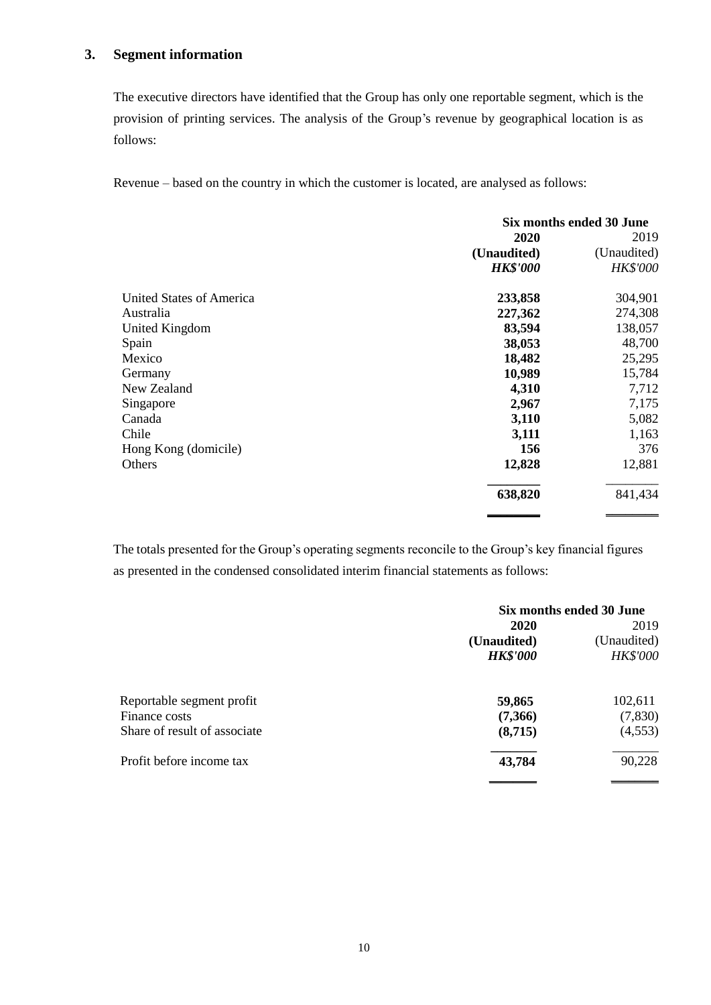### **3. Segment information**

The executive directors have identified that the Group has only one reportable segment, which is the provision of printing services. The analysis of the Group's revenue by geographical location is as follows:

Revenue – based on the country in which the customer is located, are analysed as follows:

|                          | Six months ended 30 June |                 |  |
|--------------------------|--------------------------|-----------------|--|
|                          | 2020                     | 2019            |  |
|                          | (Unaudited)              | (Unaudited)     |  |
|                          | <b>HK\$'000</b>          | <b>HK\$'000</b> |  |
| United States of America | 233,858                  | 304,901         |  |
| Australia                | 227,362                  | 274,308         |  |
| <b>United Kingdom</b>    | 83,594                   | 138,057         |  |
| Spain                    | 38,053                   | 48,700          |  |
| Mexico                   | 18,482                   | 25,295          |  |
| Germany                  | 10,989                   | 15,784          |  |
| New Zealand              | 4,310                    | 7,712           |  |
| Singapore                | 2,967                    | 7,175           |  |
| Canada                   | 3,110                    | 5,082           |  |
| Chile                    | 3,111                    | 1,163           |  |
| Hong Kong (domicile)     | 156                      | 376             |  |
| Others                   | 12,828                   | 12,881          |  |
|                          | 638,820                  | 841,434         |  |
|                          |                          |                 |  |

The totals presented for the Group's operating segments reconcile to the Group's key financial figures as presented in the condensed consolidated interim financial statements as follows:

|                              |                 | Six months ended 30 June |  |
|------------------------------|-----------------|--------------------------|--|
|                              | 2020            | 2019                     |  |
|                              | (Unaudited)     | (Unaudited)              |  |
|                              | <b>HK\$'000</b> | HK\$'000                 |  |
| Reportable segment profit    | 59,865          | 102,611                  |  |
| Finance costs                | (7,366)         | (7,830)                  |  |
| Share of result of associate | (8,715)         | (4, 553)                 |  |
| Profit before income tax     | 43,784          | 90,228                   |  |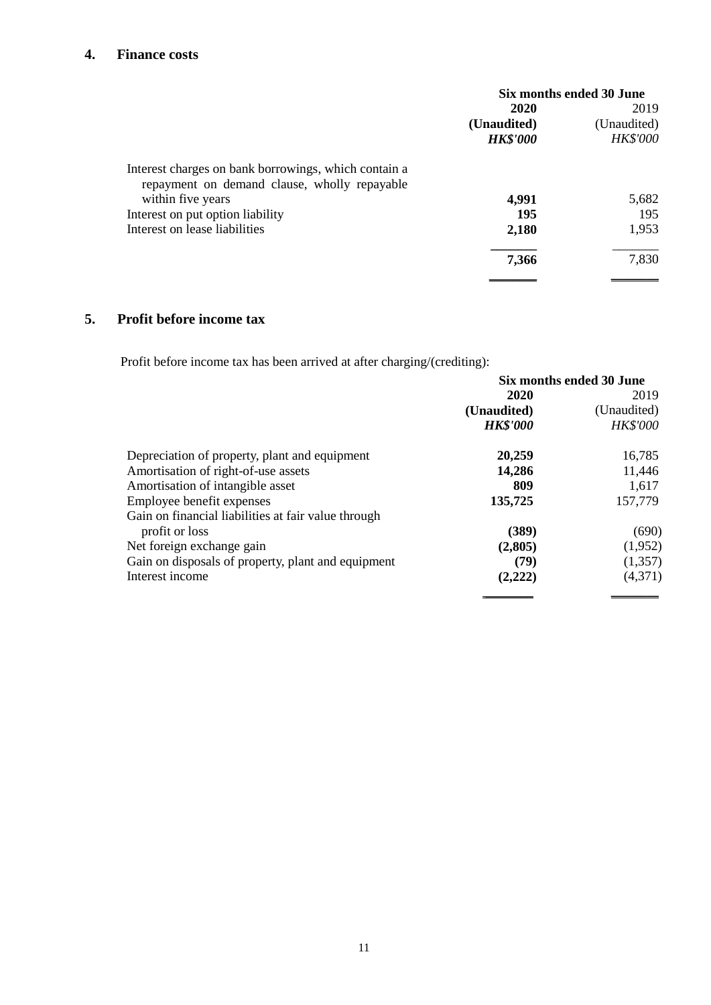## **4. Finance costs**

|                                                                   | Six months ended 30 June |             |  |
|-------------------------------------------------------------------|--------------------------|-------------|--|
|                                                                   | 2020                     | 2019        |  |
|                                                                   | (Unaudited)              | (Unaudited) |  |
|                                                                   | <b>HK\$'000</b>          | HK\$'000    |  |
| Interest charges on bank borrowings, which contain a              |                          |             |  |
| repayment on demand clause, wholly repayable<br>within five years | 4,991                    | 5,682       |  |
| Interest on put option liability                                  | 195                      | 195         |  |
| Interest on lease liabilities                                     | 2,180                    | 1,953       |  |
|                                                                   | 7,366                    | 7,830       |  |
|                                                                   |                          |             |  |

## **5. Profit before income tax**

Profit before income tax has been arrived at after charging/(crediting):

|                                                     | Six months ended 30 June |                 |  |
|-----------------------------------------------------|--------------------------|-----------------|--|
|                                                     | 2020                     | 2019            |  |
|                                                     | (Unaudited)              | (Unaudited)     |  |
|                                                     | <b>HK\$'000</b>          | <b>HK\$'000</b> |  |
| Depreciation of property, plant and equipment       | 20,259                   | 16,785          |  |
| Amortisation of right-of-use assets                 | 14,286                   | 11,446          |  |
| Amortisation of intangible asset                    | 809                      | 1,617           |  |
| Employee benefit expenses                           | 135,725                  | 157,779         |  |
| Gain on financial liabilities at fair value through |                          |                 |  |
| profit or loss                                      | (389)                    | (690)           |  |
| Net foreign exchange gain                           | (2,805)                  | (1,952)         |  |
| Gain on disposals of property, plant and equipment  | (79)                     | (1, 357)        |  |
| Interest income                                     | (2,222)                  | (4,371)         |  |
|                                                     |                          |                 |  |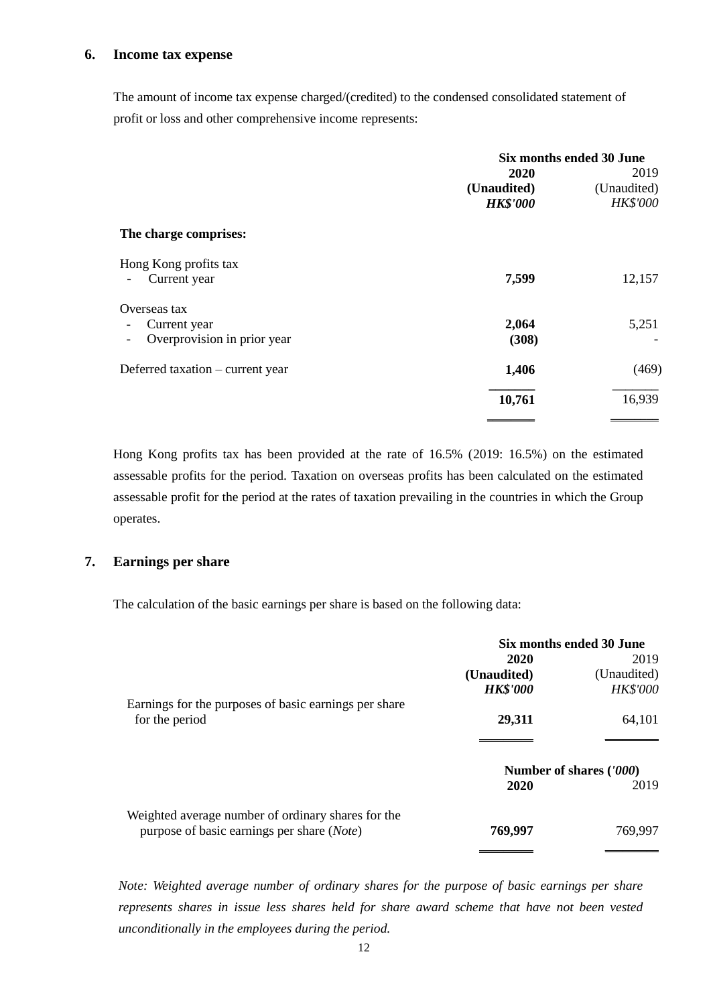#### **6. Income tax expense**

The amount of income tax expense charged/(credited) to the condensed consolidated statement of profit or loss and other comprehensive income represents:

|                                  | Six months ended 30 June |                 |
|----------------------------------|--------------------------|-----------------|
|                                  | 2020                     | 2019            |
|                                  | (Unaudited)              | (Unaudited)     |
|                                  | <b>HK\$'000</b>          | <b>HK\$'000</b> |
| The charge comprises:            |                          |                 |
| Hong Kong profits tax            |                          |                 |
| Current year                     | 7,599                    | 12,157          |
| Overseas tax                     |                          |                 |
| Current year                     | 2,064                    | 5,251           |
| Overprovision in prior year      | (308)                    |                 |
| Deferred taxation – current year | 1,406                    | (469)           |
|                                  | 10,761                   | 16,939          |
|                                  |                          |                 |

Hong Kong profits tax has been provided at the rate of 16.5% (2019: 16.5%) on the estimated assessable profits for the period. Taxation on overseas profits has been calculated on the estimated assessable profit for the period at the rates of taxation prevailing in the countries in which the Group operates.

### **7. Earnings per share**

The calculation of the basic earnings per share is based on the following data:

|                                                       | Six months ended 30 June |                         |
|-------------------------------------------------------|--------------------------|-------------------------|
|                                                       | 2020                     | 2019                    |
|                                                       | (Unaudited)              | (Unaudited)             |
|                                                       | <b>HK\$'000</b>          | <b>HK\$'000</b>         |
| Earnings for the purposes of basic earnings per share |                          |                         |
| for the period                                        | 29,311                   | 64,101                  |
|                                                       |                          |                         |
|                                                       |                          | Number of shares ('000) |
|                                                       | 2020                     | 2019                    |
| Weighted average number of ordinary shares for the    |                          |                         |
| purpose of basic earnings per share ( <i>Note</i> )   | 769,997                  | 769,997                 |
|                                                       |                          |                         |

*Note: Weighted average number of ordinary shares for the purpose of basic earnings per share represents shares in issue less shares held for share award scheme that have not been vested unconditionally in the employees during the period.*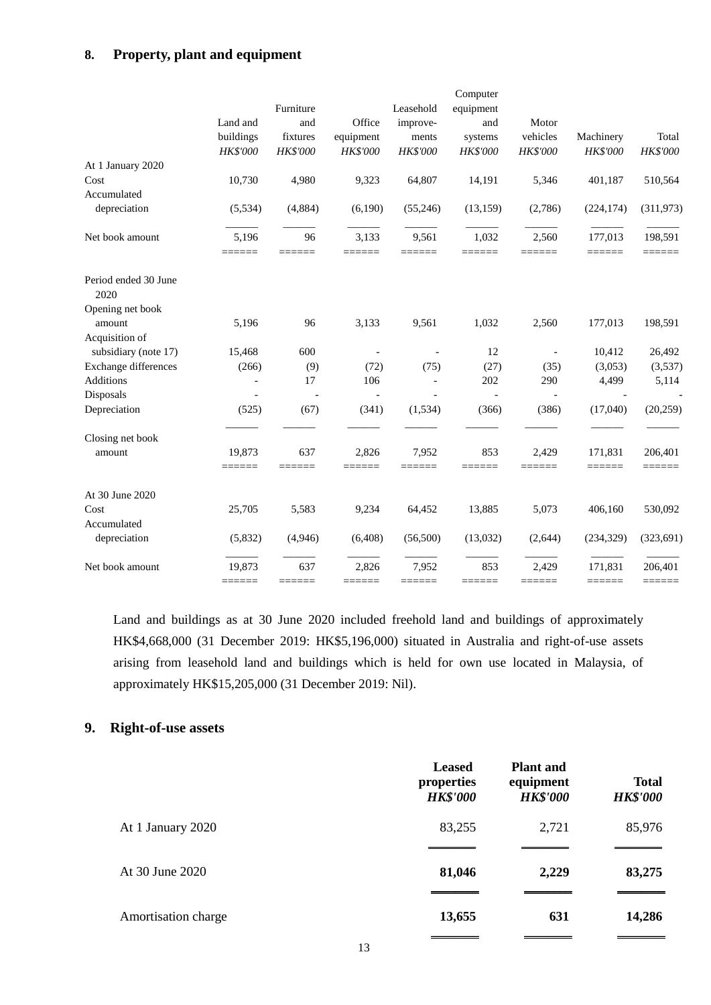## **8. Property, plant and equipment**

|                              |                  |                 |                 |                 | Computer      |                          |                   |                   |
|------------------------------|------------------|-----------------|-----------------|-----------------|---------------|--------------------------|-------------------|-------------------|
|                              |                  | Furniture       |                 | Leasehold       | equipment     |                          |                   |                   |
|                              | Land and         | and             | Office          | improve-        | and           | Motor                    |                   |                   |
|                              | buildings        | fixtures        | equipment       | ments           | systems       | vehicles                 | Machinery         | Total             |
|                              | HK\$'000         | <b>HK\$'000</b> | HK\$'000        | HK\$'000        | HK\$'000      | HK\$'000                 | HK\$'000          | HK\$'000          |
| At 1 January 2020            |                  |                 |                 |                 |               |                          |                   |                   |
| Cost                         | 10,730           | 4,980           | 9,323           | 64,807          | 14,191        | 5,346                    | 401,187           | 510,564           |
| Accumulated                  |                  |                 |                 |                 |               |                          |                   |                   |
| depreciation                 | (5, 534)         | (4, 884)        | (6,190)         | (55,246)        | (13, 159)     | (2,786)                  | (224, 174)        | (311, 973)        |
| Net book amount              | 5,196            | 96              | 3,133           | 9,561           | 1,032         | 2,560                    | 177,013           | 198,591           |
|                              | ======           | ======          | ======          | ======          | ======        | ======                   | ======            | 222222            |
| Period ended 30 June<br>2020 |                  |                 |                 |                 |               |                          |                   |                   |
| Opening net book             |                  |                 |                 |                 |               |                          |                   |                   |
| amount                       | 5,196            | 96              | 3,133           | 9,561           | 1,032         | 2,560                    | 177,013           | 198,591           |
| Acquisition of               |                  |                 |                 |                 |               |                          |                   |                   |
| subsidiary (note 17)         | 15,468           | 600             |                 |                 | 12            | $\overline{\phantom{a}}$ | 10,412            | 26,492            |
| Exchange differences         | (266)            | (9)             | (72)            | (75)            | (27)          | (35)                     | (3,053)           | (3,537)           |
| Additions                    |                  | 17              | 106             |                 | 202           | 290                      | 4,499             | 5,114             |
| Disposals                    |                  |                 |                 |                 |               |                          |                   |                   |
| Depreciation                 | (525)            | (67)            | (341)           | (1, 534)        | (366)         | (386)                    | (17,040)          | (20, 259)         |
| Closing net book             |                  |                 |                 |                 |               |                          |                   |                   |
| amount                       | 19,873<br>====== | 637<br>======   | 2,826<br>====== | 7,952<br>====== | 853<br>====== | 2,429<br>======          | 171,831<br>====== | 206,401<br>====== |
|                              |                  |                 |                 |                 |               |                          |                   |                   |
| At 30 June 2020              |                  |                 |                 |                 |               |                          |                   |                   |
| Cost                         | 25,705           | 5,583           | 9,234           | 64,452          | 13,885        | 5,073                    | 406,160           | 530,092           |
| Accumulated                  |                  |                 |                 |                 |               |                          |                   |                   |
| depreciation                 | (5,832)          | (4,946)         | (6,408)         | (56,500)        | (13,032)      | (2,644)                  | (234, 329)        | (323, 691)        |
| Net book amount              | 19,873           | 637             | 2,826           | 7,952           | 853           | 2,429                    | 171,831           | 206,401           |
|                              | ======           | ======          | ======          | ======          | ======        | ======                   | ======            | ======            |

Land and buildings as at 30 June 2020 included freehold land and buildings of approximately HK\$4,668,000 (31 December 2019: HK\$5,196,000) situated in Australia and right-of-use assets arising from leasehold land and buildings which is held for own use located in Malaysia, of approximately HK\$15,205,000 (31 December 2019: Nil).

## **9. Right-of-use assets**

|                     | <b>Leased</b><br>properties<br><b>HK\$'000</b> | <b>Plant and</b><br>equipment<br><b>HK\$'000</b> | <b>Total</b><br><b>HK\$'000</b> |
|---------------------|------------------------------------------------|--------------------------------------------------|---------------------------------|
| At 1 January 2020   | 83,255                                         | 2,721                                            | 85,976                          |
| At 30 June 2020     | 81,046                                         | 2,229                                            | 83,275                          |
| Amortisation charge | 13,655                                         | 631                                              | 14,286                          |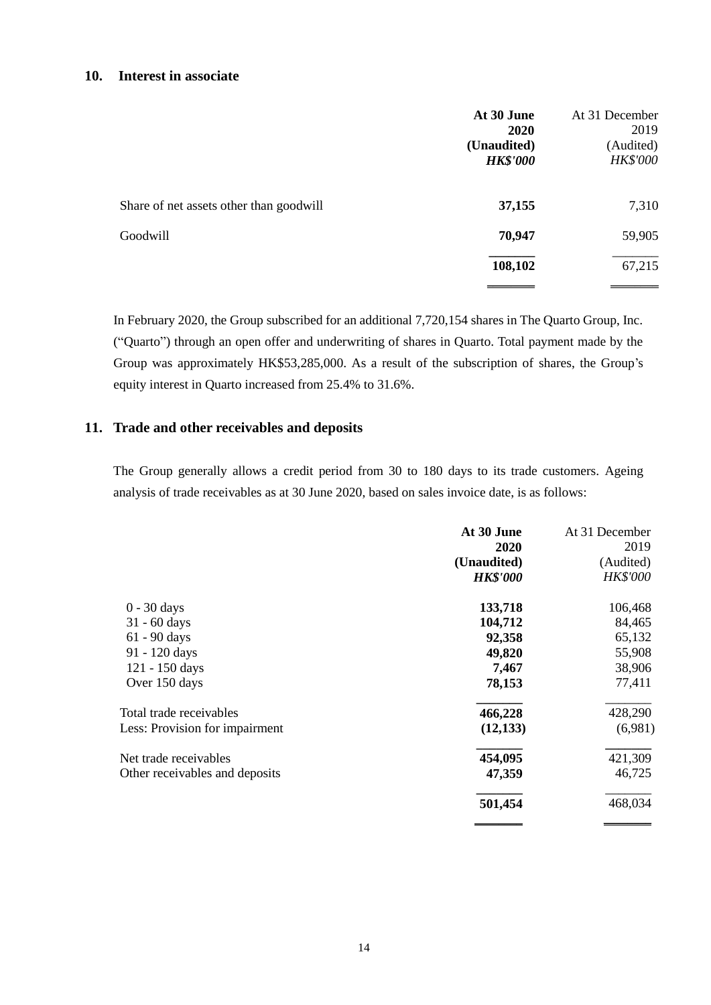### **10. Interest in associate**

|                                         | At 30 June<br><b>2020</b><br>(Unaudited)<br><b>HK\$'000</b> | At 31 December<br>2019<br>(Audited)<br>HK\$'000 |
|-----------------------------------------|-------------------------------------------------------------|-------------------------------------------------|
| Share of net assets other than goodwill | 37,155                                                      | 7,310                                           |
| Goodwill                                | 70,947                                                      | 59,905                                          |
|                                         | 108,102                                                     | 67,215                                          |

In February 2020, the Group subscribed for an additional 7,720,154 shares in The Quarto Group, Inc. ("Quarto") through an open offer and underwriting of shares in Quarto. Total payment made by the Group was approximately HK\$53,285,000. As a result of the subscription of shares, the Group's equity interest in Quarto increased from 25.4% to 31.6%.

#### **11. Trade and other receivables and deposits**

The Group generally allows a credit period from 30 to 180 days to its trade customers. Ageing analysis of trade receivables as at 30 June 2020, based on sales invoice date, is as follows:

|                                | At 30 June      | At 31 December  |
|--------------------------------|-----------------|-----------------|
|                                | 2020            | 2019            |
|                                | (Unaudited)     | (Audited)       |
|                                | <b>HK\$'000</b> | <b>HK\$'000</b> |
| $0 - 30$ days                  | 133,718         | 106,468         |
| $31 - 60$ days                 | 104,712         | 84,465          |
| $61 - 90$ days                 | 92,358          | 65,132          |
| 91 - 120 days                  | 49,820          | 55,908          |
| 121 - 150 days                 | 7,467           | 38,906          |
| Over 150 days                  | 78,153          | 77,411          |
| Total trade receivables        | 466,228         | 428,290         |
| Less: Provision for impairment | (12, 133)       | (6,981)         |
| Net trade receivables          | 454,095         | 421,309         |
| Other receivables and deposits | 47,359          | 46,725          |
|                                | 501,454         | 468,034         |
|                                |                 |                 |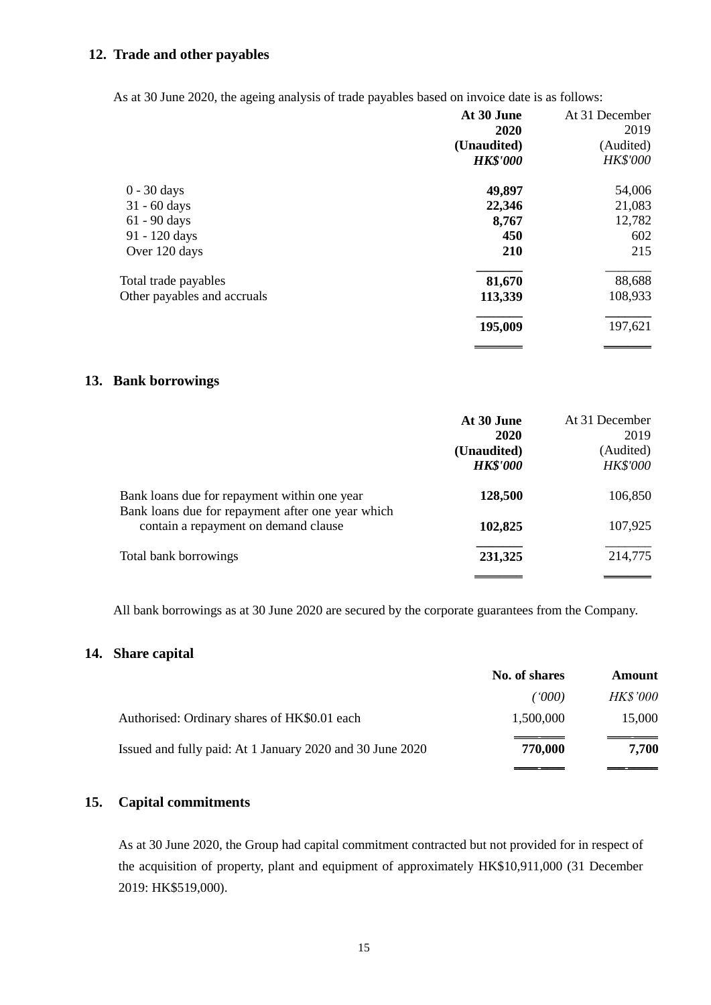### **12. Trade and other payables**

As at 30 June 2020, the ageing analysis of trade payables based on invoice date is as follows:

|                             | At 30 June<br>2020 | At 31 December<br>2019 |
|-----------------------------|--------------------|------------------------|
|                             | (Unaudited)        | (Audited)              |
|                             | <b>HK\$'000</b>    | <b>HK\$'000</b>        |
| $0 - 30$ days               | 49,897             | 54,006                 |
| $31 - 60$ days              | 22,346             | 21,083                 |
| 61 - 90 days                | 8,767              | 12,782                 |
| 91 - 120 days               | 450                | 602                    |
| Over 120 days               | 210                | 215                    |
| Total trade payables        | 81,670             | 88,688                 |
| Other payables and accruals | 113,339            | 108,933                |
|                             | 195,009            | 197,621                |
|                             |                    |                        |

#### **13. Bank borrowings**

|                                                                                                   | At 30 June      | At 31 December  |
|---------------------------------------------------------------------------------------------------|-----------------|-----------------|
|                                                                                                   | 2020            | 2019            |
|                                                                                                   | (Unaudited)     | (Audited)       |
|                                                                                                   | <b>HK\$'000</b> | <b>HK\$'000</b> |
| Bank loans due for repayment within one year<br>Bank loans due for repayment after one year which | 128,500         | 106,850         |
| contain a repayment on demand clause                                                              | 102,825         | 107,925         |
| Total bank borrowings                                                                             | 231,325         | 214,775         |
|                                                                                                   |                 |                 |

All bank borrowings as at 30 June 2020 are secured by the corporate guarantees from the Company.

## **14. Share capital**

|                                                           | No. of shares | Amount          |
|-----------------------------------------------------------|---------------|-----------------|
|                                                           | ('000)        | <b>HK\$'000</b> |
| Authorised: Ordinary shares of HK\$0.01 each              | 1,500,000     | 15,000          |
| Issued and fully paid: At 1 January 2020 and 30 June 2020 | 770,000       | 7,700           |
|                                                           |               |                 |

## **15. Capital commitments**

As at 30 June 2020, the Group had capital commitment contracted but not provided for in respect of the acquisition of property, plant and equipment of approximately HK\$10,911,000 (31 December 2019: HK\$519,000).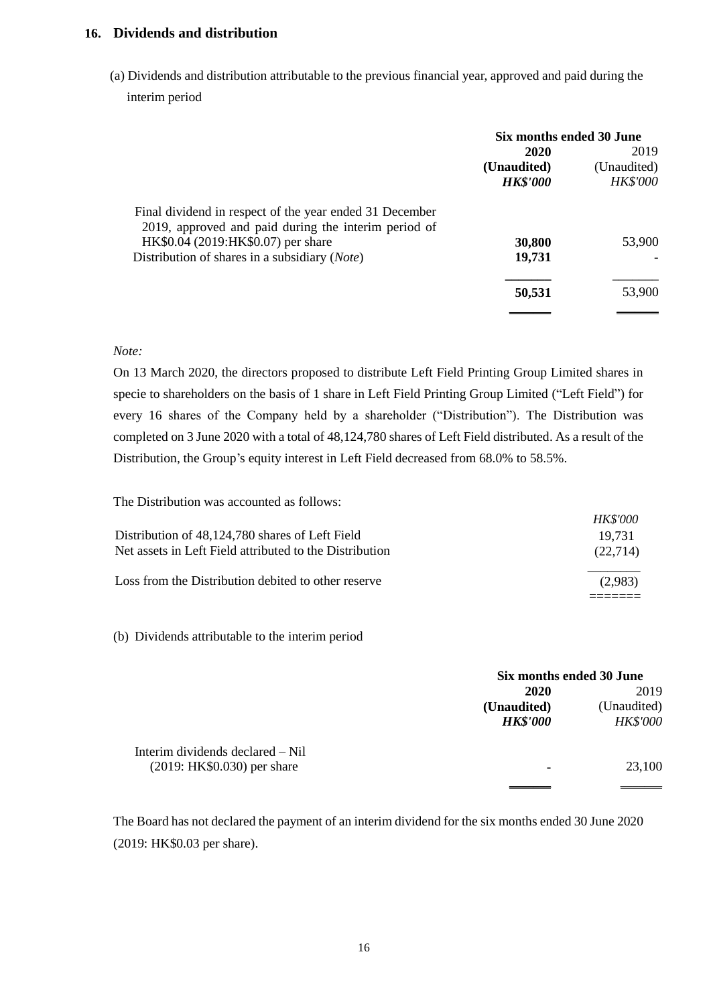### **16. Dividends and distribution**

(a) Dividends and distribution attributable to the previous financial year, approved and paid during the interim period

|                                                                                                                 | Six months ended 30 June |                 |  |
|-----------------------------------------------------------------------------------------------------------------|--------------------------|-----------------|--|
|                                                                                                                 | 2020                     | 2019            |  |
|                                                                                                                 | (Unaudited)              | (Unaudited)     |  |
|                                                                                                                 | <b>HK\$'000</b>          | <b>HK\$'000</b> |  |
| Final dividend in respect of the year ended 31 December<br>2019, approved and paid during the interim period of |                          |                 |  |
| HK\$0.04 (2019:HK\$0.07) per share                                                                              | 30,800                   | 53,900          |  |
| Distribution of shares in a subsidiary ( <i>Note</i> )                                                          | 19,731                   |                 |  |
|                                                                                                                 | 50,531                   | 53,900          |  |
|                                                                                                                 |                          |                 |  |

#### *Note:*

On 13 March 2020, the directors proposed to distribute Left Field Printing Group Limited shares in specie to shareholders on the basis of 1 share in Left Field Printing Group Limited ("Left Field") for every 16 shares of the Company held by a shareholder ("Distribution"). The Distribution was completed on 3 June 2020 with a total of 48,124,780 shares of Left Field distributed. As a result of the Distribution, the Group's equity interest in Left Field decreased from 68.0% to 58.5%.

The Distribution was accounted as follows:

| Distribution of 48,124,780 shares of Left Field<br>Net assets in Left Field attributed to the Distribution | <i>HK\$'000</i><br>19.731<br>(22.714) |
|------------------------------------------------------------------------------------------------------------|---------------------------------------|
| Loss from the Distribution debited to other reserve                                                        | (2.983)                               |

(b) Dividends attributable to the interim period

|                                  | Six months ended 30 June       |                                |
|----------------------------------|--------------------------------|--------------------------------|
|                                  | 2020                           | 2019                           |
|                                  | (Unaudited)<br><b>HK\$'000</b> | (Unaudited)<br><b>HK\$'000</b> |
| Interim dividends declared – Nil |                                |                                |
| $(2019:HK$0.030)$ per share      | ٠                              | 23,100                         |
|                                  |                                |                                |

The Board has not declared the payment of an interim dividend for the six months ended 30 June 2020 (2019: HK\$0.03 per share).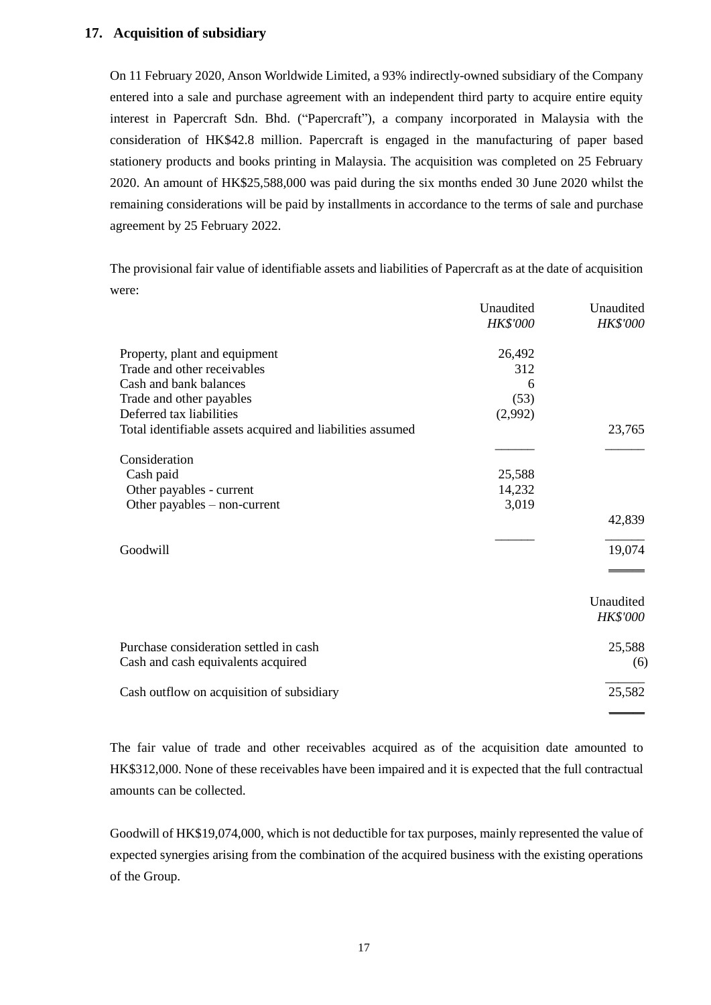## **17. Acquisition of subsidiary**

On 11 February 2020, Anson Worldwide Limited, a 93% indirectly-owned subsidiary of the Company entered into a sale and purchase agreement with an independent third party to acquire entire equity interest in Papercraft Sdn. Bhd. ("Papercraft"), a company incorporated in Malaysia with the consideration of HK\$42.8 million. Papercraft is engaged in the manufacturing of paper based stationery products and books printing in Malaysia. The acquisition was completed on 25 February 2020. An amount of HK\$25,588,000 was paid during the six months ended 30 June 2020 whilst the remaining considerations will be paid by installments in accordance to the terms of sale and purchase agreement by 25 February 2022.

The provisional fair value of identifiable assets and liabilities of Papercraft as at the date of acquisition were:

|                                                            | Unaudited<br><b>HK\$'000</b> | Unaudited<br><b>HK\$'000</b> |
|------------------------------------------------------------|------------------------------|------------------------------|
| Property, plant and equipment                              | 26,492                       |                              |
| Trade and other receivables                                | 312                          |                              |
| Cash and bank balances                                     | 6                            |                              |
| Trade and other payables                                   | (53)                         |                              |
| Deferred tax liabilities                                   | (2,992)                      |                              |
| Total identifiable assets acquired and liabilities assumed |                              | 23,765                       |
| Consideration                                              |                              |                              |
| Cash paid                                                  | 25,588                       |                              |
| Other payables - current                                   | 14,232                       |                              |
| Other payables $-$ non-current                             | 3,019                        |                              |
|                                                            |                              | 42,839                       |
| Goodwill                                                   |                              | 19,074                       |
|                                                            |                              |                              |
|                                                            |                              | Unaudited                    |
|                                                            |                              | <b>HK\$'000</b>              |
| Purchase consideration settled in cash                     |                              | 25,588                       |
| Cash and cash equivalents acquired                         |                              | (6)                          |
| Cash outflow on acquisition of subsidiary                  |                              | 25,582                       |

The fair value of trade and other receivables acquired as of the acquisition date amounted to HK\$312,000. None of these receivables have been impaired and it is expected that the full contractual amounts can be collected.

Goodwill of HK\$19,074,000, which is not deductible for tax purposes, mainly represented the value of expected synergies arising from the combination of the acquired business with the existing operations of the Group.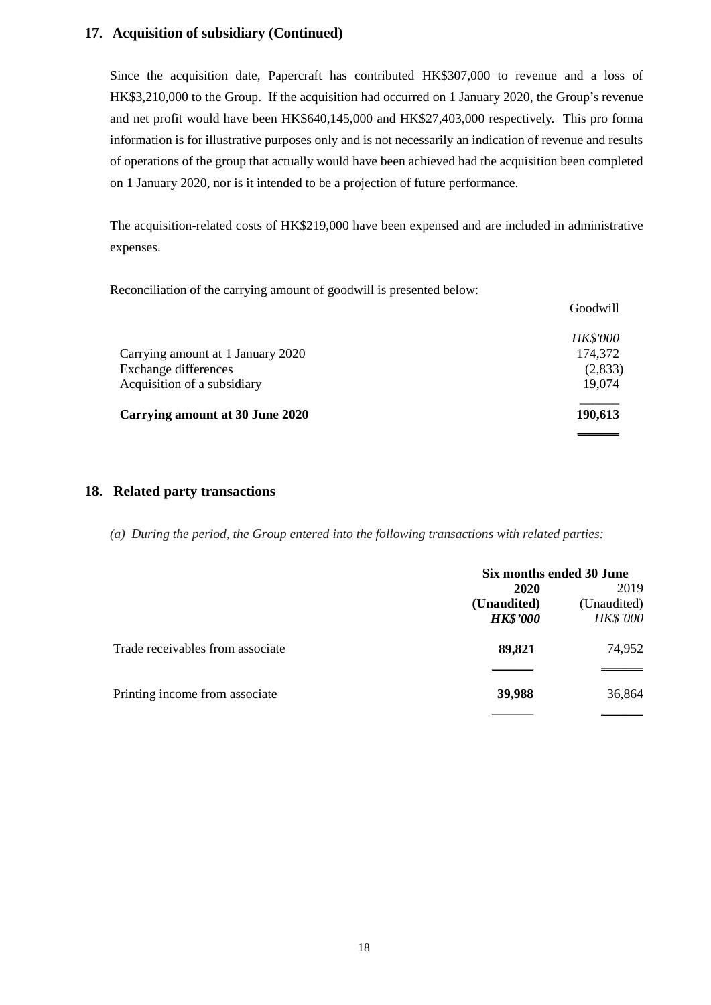## **17. Acquisition of subsidiary (Continued)**

Since the acquisition date, Papercraft has contributed HK\$307,000 to revenue and a loss of HK\$3,210,000 to the Group. If the acquisition had occurred on 1 January 2020, the Group's revenue and net profit would have been HK\$640,145,000 and HK\$27,403,000 respectively. This pro forma information is for illustrative purposes only and is not necessarily an indication of revenue and results of operations of the group that actually would have been achieved had the acquisition been completed on 1 January 2020, nor is it intended to be a projection of future performance.

The acquisition-related costs of HK\$219,000 have been expensed and are included in administrative expenses.

Reconciliation of the carrying amount of goodwill is presented below:

|                                   | Goodwill        |
|-----------------------------------|-----------------|
|                                   | <b>HK\$'000</b> |
| Carrying amount at 1 January 2020 | 174,372         |
| Exchange differences              | (2,833)         |
| Acquisition of a subsidiary       | 19,074          |
| Carrying amount at 30 June 2020   | 190,613         |
|                                   |                 |

### **18. Related party transactions**

*(a) During the period, the Group entered into the following transactions with related parties:*

|                                  | Six months ended 30 June |                 |  |
|----------------------------------|--------------------------|-----------------|--|
|                                  | 2020                     |                 |  |
|                                  | (Unaudited)              | (Unaudited)     |  |
|                                  | <b>HK\$'000</b>          | <b>HK\$'000</b> |  |
| Trade receivables from associate | 89,821                   | 74,952          |  |
|                                  |                          |                 |  |
| Printing income from associate   | 39,988                   | 36,864          |  |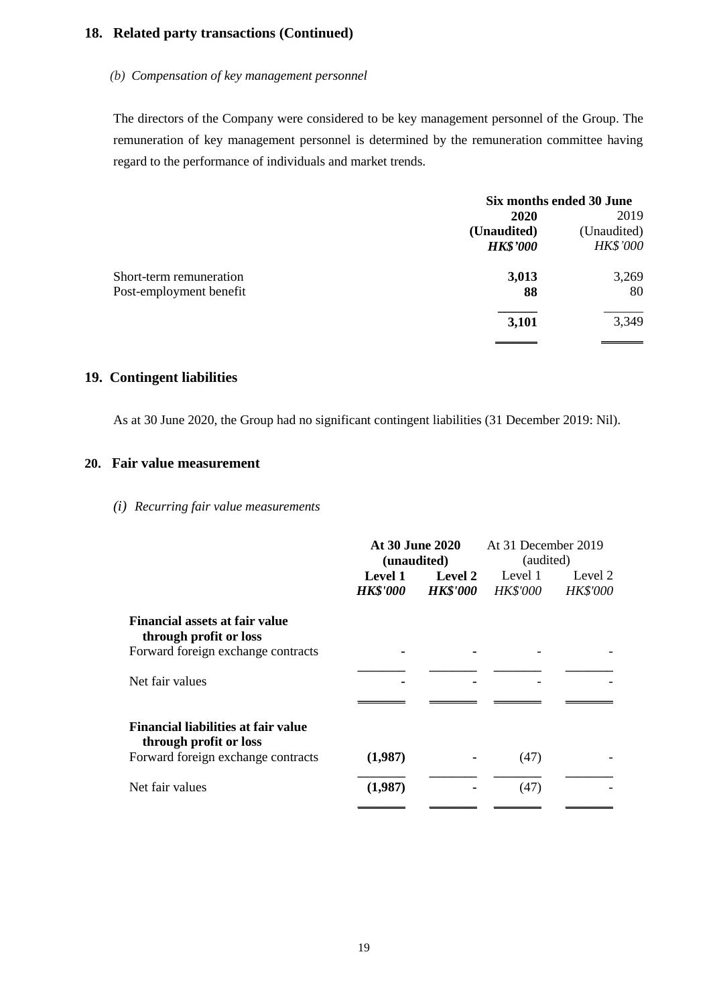# **18. Related party transactions (Continued)**

#### *(b) Compensation of key management personnel*

The directors of the Company were considered to be key management personnel of the Group. The remuneration of key management personnel is determined by the remuneration committee having regard to the performance of individuals and market trends.

|                         | Six months ended 30 June |             |  |
|-------------------------|--------------------------|-------------|--|
|                         | 2020                     |             |  |
|                         | (Unaudited)              | (Unaudited) |  |
|                         | <b>HK\$'000</b>          | HK\$'000    |  |
| Short-term remuneration | 3,013                    | 3,269       |  |
| Post-employment benefit | 88                       | 80          |  |
|                         | 3,101                    | 3,349       |  |
|                         |                          |             |  |

### **19. Contingent liabilities**

As at 30 June 2020, the Group had no significant contingent liabilities (31 December 2019: Nil).

#### **20. Fair value measurement**

*(i) Recurring fair value measurements*

|                                                                      | <b>At 30 June 2020</b><br>(unaudited) |                 | At 31 December 2019<br>(audited) |                 |
|----------------------------------------------------------------------|---------------------------------------|-----------------|----------------------------------|-----------------|
|                                                                      | <b>Level 1</b>                        | <b>Level 2</b>  | Level 1                          | Level 2         |
|                                                                      | <b>HK\$'000</b>                       | <b>HK\$'000</b> | <b>HK\$'000</b>                  | <b>HK\$'000</b> |
| Financial assets at fair value<br>through profit or loss             |                                       |                 |                                  |                 |
| Forward foreign exchange contracts                                   |                                       |                 |                                  |                 |
| Net fair values                                                      |                                       |                 |                                  |                 |
| <b>Financial liabilities at fair value</b><br>through profit or loss |                                       |                 |                                  |                 |
| Forward foreign exchange contracts                                   | (1,987)                               |                 | (47)                             |                 |
| Net fair values                                                      | (1,987)                               |                 | (47)                             |                 |
|                                                                      |                                       |                 |                                  |                 |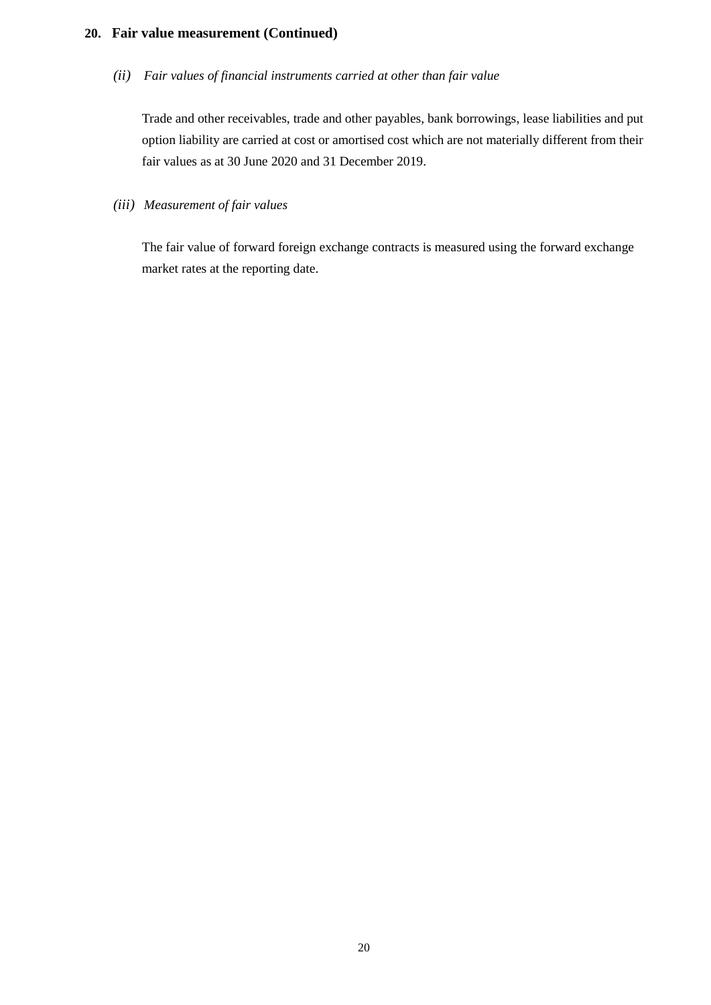## **20. Fair value measurement (Continued)**

*(ii) Fair values of financial instruments carried at other than fair value*

Trade and other receivables, trade and other payables, bank borrowings, lease liabilities and put option liability are carried at cost or amortised cost which are not materially different from their fair values as at 30 June 2020 and 31 December 2019.

*(iii) Measurement of fair values*

The fair value of forward foreign exchange contracts is measured using the forward exchange market rates at the reporting date.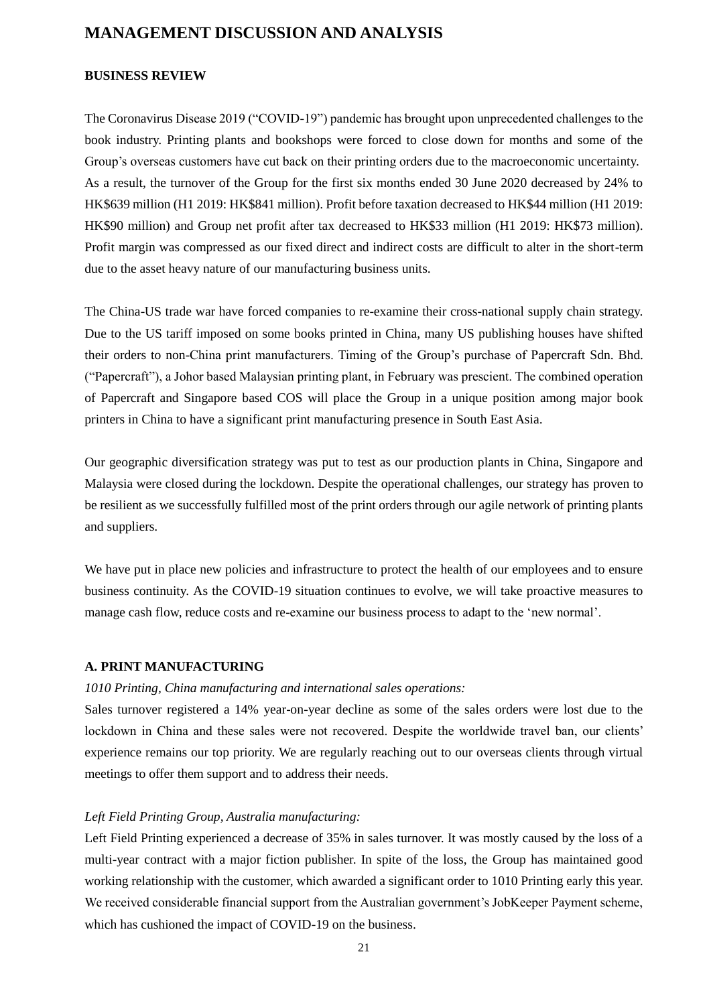## **MANAGEMENT DISCUSSION AND ANALYSIS**

#### **BUSINESS REVIEW**

The Coronavirus Disease 2019 ("COVID-19") pandemic has brought upon unprecedented challenges to the book industry. Printing plants and bookshops were forced to close down for months and some of the Group's overseas customers have cut back on their printing orders due to the macroeconomic uncertainty. As a result, the turnover of the Group for the first six months ended 30 June 2020 decreased by 24% to HK\$639 million (H1 2019: HK\$841 million). Profit before taxation decreased to HK\$44 million (H1 2019: HK\$90 million) and Group net profit after tax decreased to HK\$33 million (H1 2019: HK\$73 million). Profit margin was compressed as our fixed direct and indirect costs are difficult to alter in the short-term due to the asset heavy nature of our manufacturing business units.

The China-US trade war have forced companies to re-examine their cross-national supply chain strategy. Due to the US tariff imposed on some books printed in China, many US publishing houses have shifted their orders to non-China print manufacturers. Timing of the Group's purchase of Papercraft Sdn. Bhd. ("Papercraft"), a Johor based Malaysian printing plant, in February was prescient. The combined operation of Papercraft and Singapore based COS will place the Group in a unique position among major book printers in China to have a significant print manufacturing presence in South East Asia.

Our geographic diversification strategy was put to test as our production plants in China, Singapore and Malaysia were closed during the lockdown. Despite the operational challenges, our strategy has proven to be resilient as we successfully fulfilled most of the print orders through our agile network of printing plants and suppliers.

We have put in place new policies and infrastructure to protect the health of our employees and to ensure business continuity. As the COVID-19 situation continues to evolve, we will take proactive measures to manage cash flow, reduce costs and re-examine our business process to adapt to the 'new normal'.

#### **A. PRINT MANUFACTURING**

#### *1010 Printing, China manufacturing and international sales operations:*

Sales turnover registered a 14% year-on-year decline as some of the sales orders were lost due to the lockdown in China and these sales were not recovered. Despite the worldwide travel ban, our clients' experience remains our top priority. We are regularly reaching out to our overseas clients through virtual meetings to offer them support and to address their needs.

### *Left Field Printing Group, Australia manufacturing:*

Left Field Printing experienced a decrease of 35% in sales turnover. It was mostly caused by the loss of a multi-year contract with a major fiction publisher. In spite of the loss, the Group has maintained good working relationship with the customer, which awarded a significant order to 1010 Printing early this year. We received considerable financial support from the Australian government's JobKeeper Payment scheme, which has cushioned the impact of COVID-19 on the business.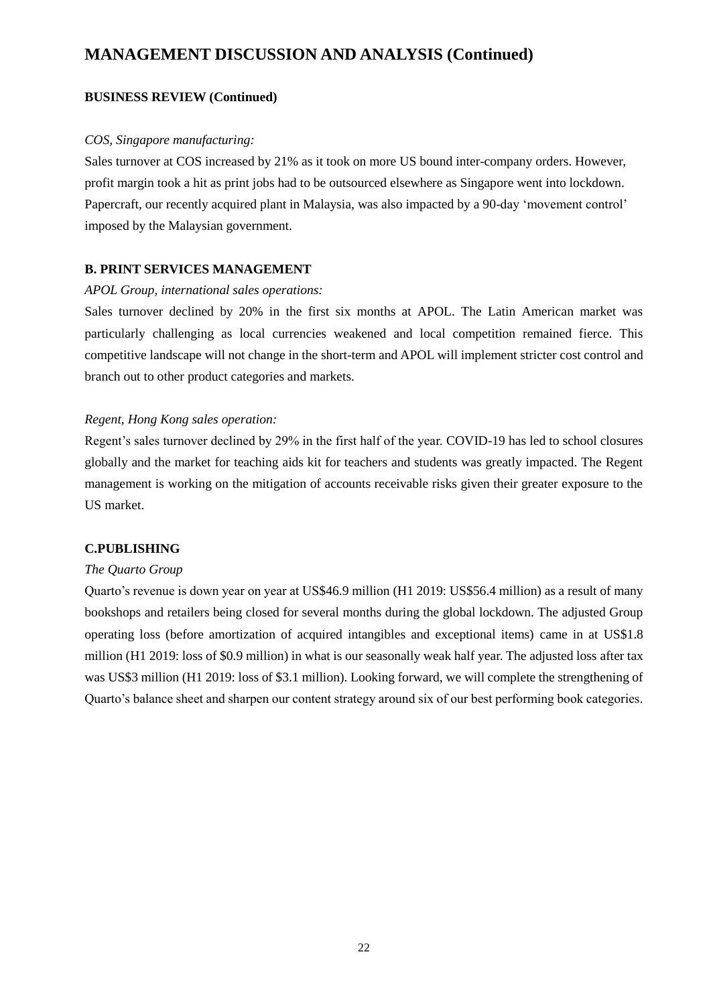## **MANAGEMENT DISCUSSION AND ANALYSIS (Continued)**

#### **BUSINESS REVIEW (Continued)**

#### *COS, Singapore manufacturing:*

Sales turnover at COS increased by 21% as it took on more US bound inter-company orders. However, profit margin took a hit as print jobs had to be outsourced elsewhere as Singapore went into lockdown. Papercraft, our recently acquired plant in Malaysia, was also impacted by a 90-day 'movement control' imposed by the Malaysian government.

### **B. PRINT SERVICES MANAGEMENT**

#### *APOL Group, international sales operations:*

Sales turnover declined by 20% in the first six months at APOL. The Latin American market was particularly challenging as local currencies weakened and local competition remained fierce. This competitive landscape will not change in the short-term and APOL will implement stricter cost control and branch out to other product categories and markets.

#### *Regent, Hong Kong sales operation:*

Regent's sales turnover declined by 29% in the first half of the year. COVID-19 has led to school closures globally and the market for teaching aids kit for teachers and students was greatly impacted. The Regent management is working on the mitigation of accounts receivable risks given their greater exposure to the US market.

### **C.PUBLISHING**

#### *The Quarto Group*

Quarto's revenue is down year on year at US\$46.9 million (H1 2019: US\$56.4 million) as a result of many bookshops and retailers being closed for several months during the global lockdown. The adjusted Group operating loss (before amortization of acquired intangibles and exceptional items) came in at US\$1.8 million (H1 2019: loss of \$0.9 million) in what is our seasonally weak half year. The adjusted loss after tax was US\$3 million (H1 2019: loss of \$3.1 million). Looking forward, we will complete the strengthening of Quarto's balance sheet and sharpen our content strategy around six of our best performing book categories.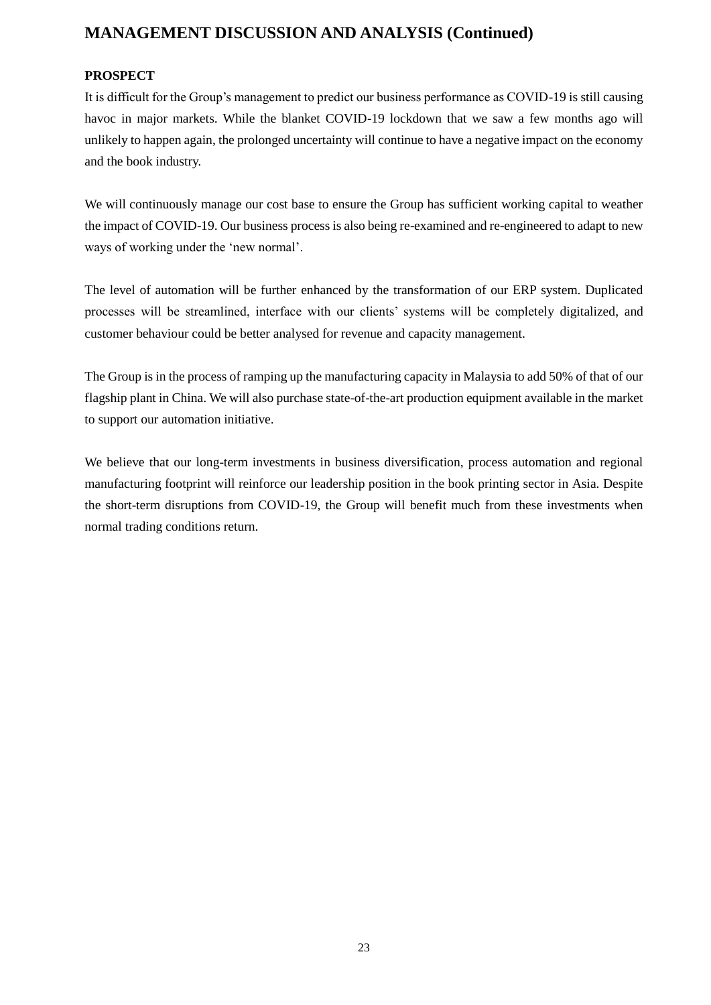# **MANAGEMENT DISCUSSION AND ANALYSIS (Continued)**

### **PROSPECT**

It is difficult for the Group's management to predict our business performance as COVID-19 is still causing havoc in major markets. While the blanket COVID-19 lockdown that we saw a few months ago will unlikely to happen again, the prolonged uncertainty will continue to have a negative impact on the economy and the book industry.

We will continuously manage our cost base to ensure the Group has sufficient working capital to weather the impact of COVID-19. Our business process is also being re-examined and re-engineered to adapt to new ways of working under the 'new normal'.

The level of automation will be further enhanced by the transformation of our ERP system. Duplicated processes will be streamlined, interface with our clients' systems will be completely digitalized, and customer behaviour could be better analysed for revenue and capacity management.

The Group is in the process of ramping up the manufacturing capacity in Malaysia to add 50% of that of our flagship plant in China. We will also purchase state-of-the-art production equipment available in the market to support our automation initiative.

We believe that our long-term investments in business diversification, process automation and regional manufacturing footprint will reinforce our leadership position in the book printing sector in Asia. Despite the short-term disruptions from COVID-19, the Group will benefit much from these investments when normal trading conditions return.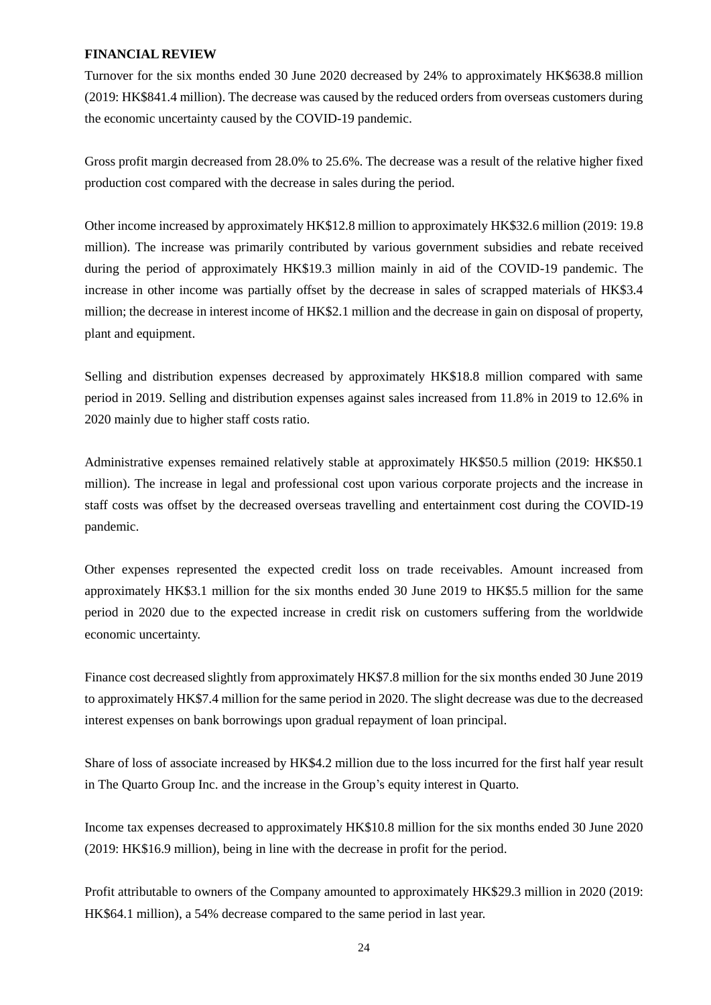#### **FINANCIAL REVIEW**

Turnover for the six months ended 30 June 2020 decreased by 24% to approximately HK\$638.8 million (2019: HK\$841.4 million). The decrease was caused by the reduced orders from overseas customers during the economic uncertainty caused by the COVID-19 pandemic.

Gross profit margin decreased from 28.0% to 25.6%. The decrease was a result of the relative higher fixed production cost compared with the decrease in sales during the period.

Other income increased by approximately HK\$12.8 million to approximately HK\$32.6 million (2019: 19.8 million). The increase was primarily contributed by various government subsidies and rebate received during the period of approximately HK\$19.3 million mainly in aid of the COVID-19 pandemic. The increase in other income was partially offset by the decrease in sales of scrapped materials of HK\$3.4 million; the decrease in interest income of HK\$2.1 million and the decrease in gain on disposal of property, plant and equipment.

Selling and distribution expenses decreased by approximately HK\$18.8 million compared with same period in 2019. Selling and distribution expenses against sales increased from 11.8% in 2019 to 12.6% in 2020 mainly due to higher staff costs ratio.

Administrative expenses remained relatively stable at approximately HK\$50.5 million (2019: HK\$50.1 million). The increase in legal and professional cost upon various corporate projects and the increase in staff costs was offset by the decreased overseas travelling and entertainment cost during the COVID-19 pandemic.

Other expenses represented the expected credit loss on trade receivables. Amount increased from approximately HK\$3.1 million for the six months ended 30 June 2019 to HK\$5.5 million for the same period in 2020 due to the expected increase in credit risk on customers suffering from the worldwide economic uncertainty.

Finance cost decreased slightly from approximately HK\$7.8 million for the six months ended 30 June 2019 to approximately HK\$7.4 million for the same period in 2020. The slight decrease was due to the decreased interest expenses on bank borrowings upon gradual repayment of loan principal.

Share of loss of associate increased by HK\$4.2 million due to the loss incurred for the first half year result in The Quarto Group Inc. and the increase in the Group's equity interest in Quarto.

Income tax expenses decreased to approximately HK\$10.8 million for the six months ended 30 June 2020 (2019: HK\$16.9 million), being in line with the decrease in profit for the period.

Profit attributable to owners of the Company amounted to approximately HK\$29.3 million in 2020 (2019: HK\$64.1 million), a 54% decrease compared to the same period in last year.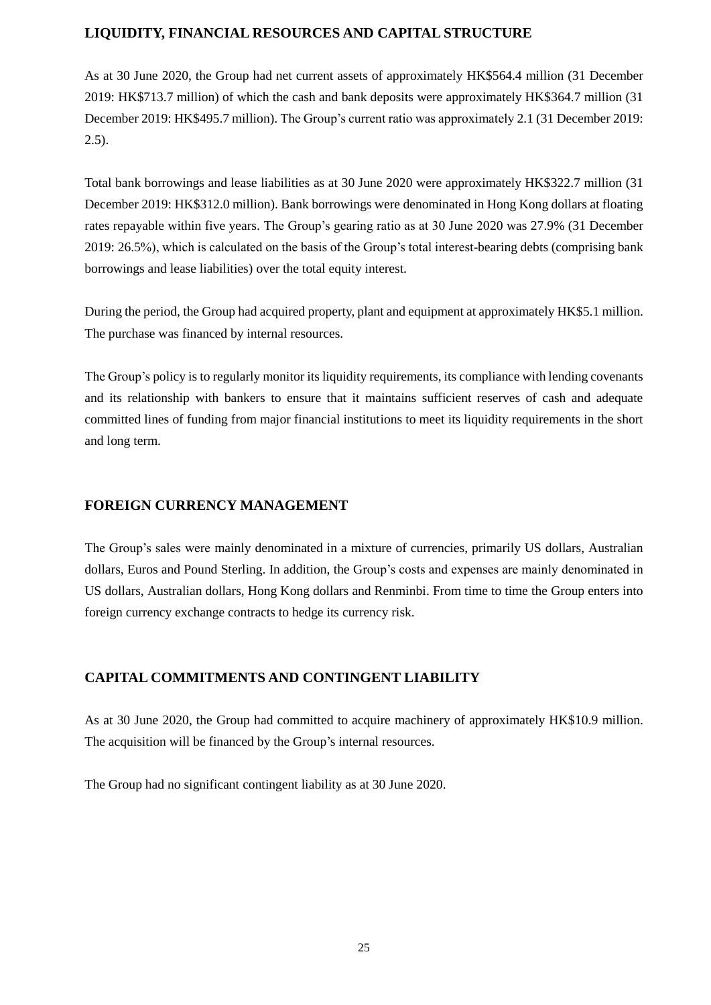## **LIQUIDITY, FINANCIAL RESOURCES AND CAPITAL STRUCTURE**

As at 30 June 2020, the Group had net current assets of approximately HK\$564.4 million (31 December 2019: HK\$713.7 million) of which the cash and bank deposits were approximately HK\$364.7 million (31 December 2019: HK\$495.7 million). The Group's current ratio was approximately 2.1 (31 December 2019:  $2.5$ ).

Total bank borrowings and lease liabilities as at 30 June 2020 were approximately HK\$322.7 million (31 December 2019: HK\$312.0 million). Bank borrowings were denominated in Hong Kong dollars at floating rates repayable within five years. The Group's gearing ratio as at 30 June 2020 was 27.9% (31 December 2019: 26.5%), which is calculated on the basis of the Group's total interest-bearing debts (comprising bank borrowings and lease liabilities) over the total equity interest.

During the period, the Group had acquired property, plant and equipment at approximately HK\$5.1 million. The purchase was financed by internal resources.

The Group's policy is to regularly monitor its liquidity requirements, its compliance with lending covenants and its relationship with bankers to ensure that it maintains sufficient reserves of cash and adequate committed lines of funding from major financial institutions to meet its liquidity requirements in the short and long term.

## **FOREIGN CURRENCY MANAGEMENT**

The Group's sales were mainly denominated in a mixture of currencies, primarily US dollars, Australian dollars, Euros and Pound Sterling. In addition, the Group's costs and expenses are mainly denominated in US dollars, Australian dollars, Hong Kong dollars and Renminbi. From time to time the Group enters into foreign currency exchange contracts to hedge its currency risk.

## **CAPITAL COMMITMENTS AND CONTINGENT LIABILITY**

As at 30 June 2020, the Group had committed to acquire machinery of approximately HK\$10.9 million. The acquisition will be financed by the Group's internal resources.

The Group had no significant contingent liability as at 30 June 2020.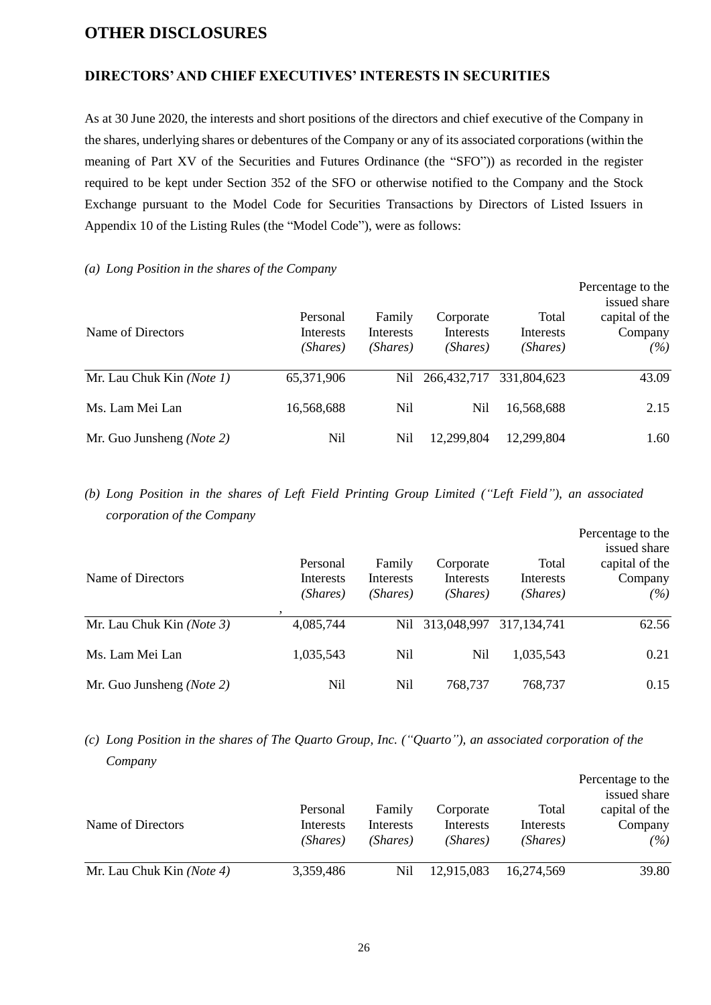## **OTHER DISCLOSURES**

## **DIRECTORS' AND CHIEF EXECUTIVES' INTERESTS IN SECURITIES**

As at 30 June 2020, the interests and short positions of the directors and chief executive of the Company in the shares, underlying shares or debentures of the Company or any of its associated corporations (within the meaning of Part XV of the Securities and Futures Ordinance (the "SFO")) as recorded in the register required to be kept under Section 352 of the SFO or otherwise notified to the Company and the Stock Exchange pursuant to the Model Code for Securities Transactions by Directors of Listed Issuers in Appendix 10 of the Listing Rules (the "Model Code"), were as follows:

#### *(a) Long Position in the shares of the Company*

| Name of Directors                  | Personal<br>Interests<br>(Shares) | Family<br>Interests<br>(Shares) | Corporate<br>Interests<br>(Shares) | Total<br>Interests<br>(Shares) | Percentage to the<br>issued share<br>capital of the<br>Company<br>(%) |
|------------------------------------|-----------------------------------|---------------------------------|------------------------------------|--------------------------------|-----------------------------------------------------------------------|
| Mr. Lau Chuk Kin (Note 1)          | 65,371,906                        | Nil                             | 266,432,717                        | 331,804,623                    | 43.09                                                                 |
| Ms. Lam Mei Lan                    | 16,568,688                        | Nil                             | Nil                                | 16,568,688                     | 2.15                                                                  |
| Mr. Guo Junsheng ( <i>Note 2</i> ) | Nil                               | Nil                             | 12,299,804                         | 12,299,804                     | 1.60                                                                  |

## *(b) Long Position in the shares of Left Field Printing Group Limited ("Left Field"), an associated corporation of the Company*

| Name of Directors         | Personal<br>Interests<br>(Shares) | Family<br><b>Interests</b><br>(Shares) | Corporate<br><b>Interests</b><br>(Shares) | Total<br>Interests<br>(Shares) | Percentage to the<br>issued share<br>capital of the<br>Company<br>(%) |
|---------------------------|-----------------------------------|----------------------------------------|-------------------------------------------|--------------------------------|-----------------------------------------------------------------------|
| Mr. Lau Chuk Kin (Note 3) | 4,085,744                         | Nil                                    | 313,048,997                               | 317, 134, 741                  | 62.56                                                                 |
| Ms. Lam Mei Lan           | 1,035,543                         | Nil                                    | Nil                                       | 1,035,543                      | 0.21                                                                  |
| Mr. Guo Junsheng (Note 2) | Nil                               | Nil                                    | 768,737                                   | 768,737                        | 0.15                                                                  |

*(c) Long Position in the shares of The Quarto Group, Inc. ("Quarto"), an associated corporation of the Company*

|                           |           |           |            |            | Percentage to the<br>issued share |
|---------------------------|-----------|-----------|------------|------------|-----------------------------------|
|                           | Personal  | Family    | Corporate  | Total      | capital of the                    |
| Name of Directors         | Interests | Interests | Interests  | Interests  | Company                           |
|                           | (Shares)  | (Shares)  | (Shares)   | (Shares)   | (%)                               |
| Mr. Lau Chuk Kin (Note 4) | 3,359,486 | Nil       | 12,915,083 | 16,274,569 | 39.80                             |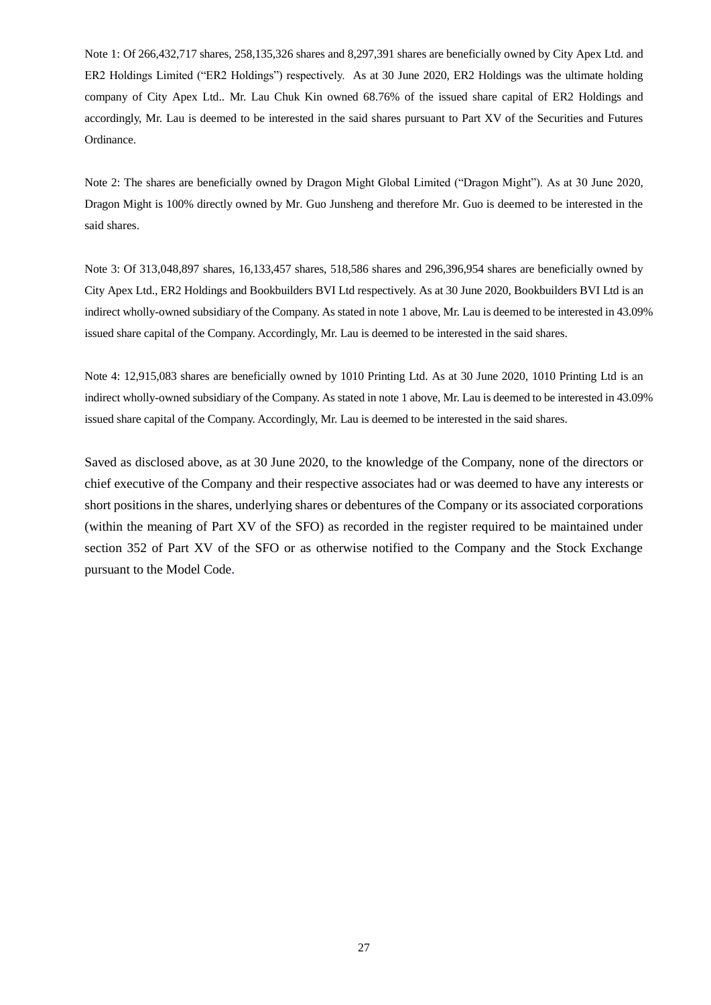Note 1: Of 266,432,717 shares, 258,135,326 shares and 8,297,391 shares are beneficially owned by City Apex Ltd. and ER2 Holdings Limited ("ER2 Holdings") respectively. As at 30 June 2020, ER2 Holdings was the ultimate holding company of City Apex Ltd.. Mr. Lau Chuk Kin owned 68.76% of the issued share capital of ER2 Holdings and accordingly, Mr. Lau is deemed to be interested in the said shares pursuant to Part XV of the Securities and Futures Ordinance.

Note 2: The shares are beneficially owned by Dragon Might Global Limited ("Dragon Might"). As at 30 June 2020, Dragon Might is 100% directly owned by Mr. Guo Junsheng and therefore Mr. Guo is deemed to be interested in the said shares.

Note 3: Of 313,048,897 shares, 16,133,457 shares, 518,586 shares and 296,396,954 shares are beneficially owned by City Apex Ltd., ER2 Holdings and Bookbuilders BVI Ltd respectively. As at 30 June 2020, Bookbuilders BVI Ltd is an indirect wholly-owned subsidiary of the Company. As stated in note 1 above, Mr. Lau is deemed to be interested in 43.09% issued share capital of the Company. Accordingly, Mr. Lau is deemed to be interested in the said shares.

Note 4: 12,915,083 shares are beneficially owned by 1010 Printing Ltd. As at 30 June 2020, 1010 Printing Ltd is an indirect wholly-owned subsidiary of the Company. As stated in note 1 above, Mr. Lau is deemed to be interested in 43.09% issued share capital of the Company. Accordingly, Mr. Lau is deemed to be interested in the said shares.

Saved as disclosed above, as at 30 June 2020, to the knowledge of the Company, none of the directors or chief executive of the Company and their respective associates had or was deemed to have any interests or short positions in the shares, underlying shares or debentures of the Company or its associated corporations (within the meaning of Part XV of the SFO) as recorded in the register required to be maintained under section 352 of Part XV of the SFO or as otherwise notified to the Company and the Stock Exchange pursuant to the Model Code.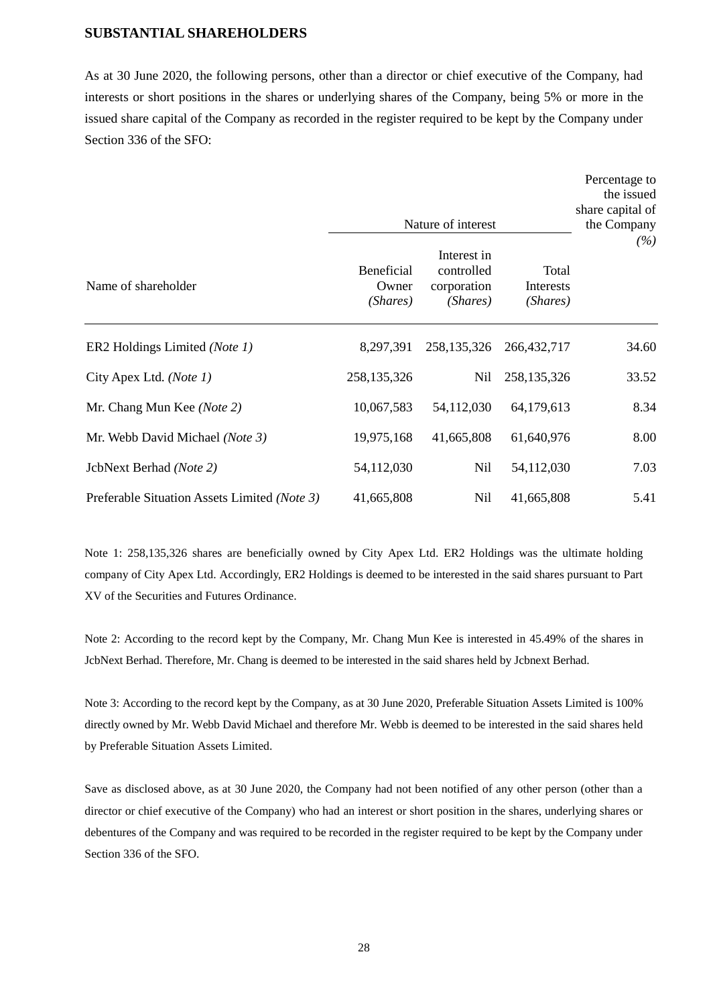#### **SUBSTANTIAL SHAREHOLDERS**

As at 30 June 2020, the following persons, other than a director or chief executive of the Company, had interests or short positions in the shares or underlying shares of the Company, being 5% or more in the issued share capital of the Company as recorded in the register required to be kept by the Company under Section 336 of the SFO:

|                                              | Nature of interest              | Percentage to<br>the issued<br>share capital of<br>the Company |                                |       |
|----------------------------------------------|---------------------------------|----------------------------------------------------------------|--------------------------------|-------|
| Name of shareholder                          | Beneficial<br>Owner<br>(Shares) | Interest in<br>controlled<br>corporation<br>(Shares)           | Total<br>Interests<br>(Shares) | (%)   |
| ER2 Holdings Limited (Note 1)                | 8,297,391                       | 258, 135, 326                                                  | 266, 432, 717                  | 34.60 |
| City Apex Ltd. (Note 1)                      | 258,135,326                     | <b>Nil</b>                                                     | 258,135,326                    | 33.52 |
| Mr. Chang Mun Kee (Note 2)                   | 10,067,583                      | 54,112,030                                                     | 64,179,613                     | 8.34  |
| Mr. Webb David Michael (Note 3)              | 19,975,168                      | 41,665,808                                                     | 61,640,976                     | 8.00  |
| JcbNext Berhad (Note 2)                      | 54,112,030                      | Nil                                                            | 54,112,030                     | 7.03  |
| Preferable Situation Assets Limited (Note 3) | 41,665,808                      | Nil                                                            | 41,665,808                     | 5.41  |

Note 1: 258,135,326 shares are beneficially owned by City Apex Ltd. ER2 Holdings was the ultimate holding company of City Apex Ltd. Accordingly, ER2 Holdings is deemed to be interested in the said shares pursuant to Part XV of the Securities and Futures Ordinance.

Note 2: According to the record kept by the Company, Mr. Chang Mun Kee is interested in 45.49% of the shares in JcbNext Berhad. Therefore, Mr. Chang is deemed to be interested in the said shares held by Jcbnext Berhad.

Note 3: According to the record kept by the Company, as at 30 June 2020, Preferable Situation Assets Limited is 100% directly owned by Mr. Webb David Michael and therefore Mr. Webb is deemed to be interested in the said shares held by Preferable Situation Assets Limited.

Save as disclosed above, as at 30 June 2020, the Company had not been notified of any other person (other than a director or chief executive of the Company) who had an interest or short position in the shares, underlying shares or debentures of the Company and was required to be recorded in the register required to be kept by the Company under Section 336 of the SFO.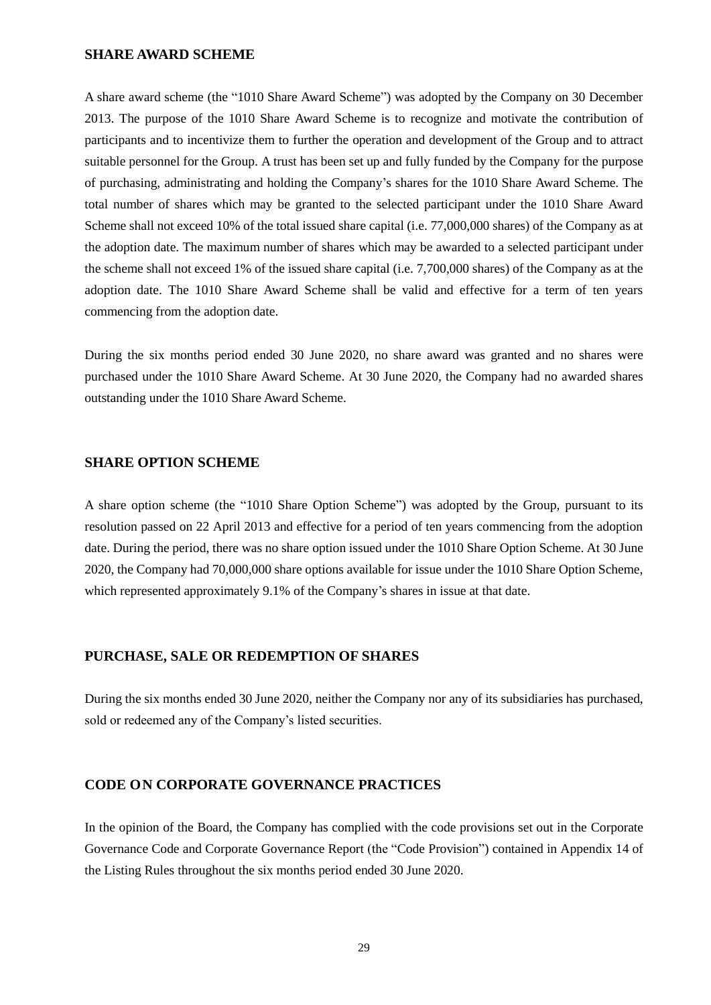#### **SHARE AWARD SCHEME**

A share award scheme (the "1010 Share Award Scheme") was adopted by the Company on 30 December 2013. The purpose of the 1010 Share Award Scheme is to recognize and motivate the contribution of participants and to incentivize them to further the operation and development of the Group and to attract suitable personnel for the Group. A trust has been set up and fully funded by the Company for the purpose of purchasing, administrating and holding the Company's shares for the 1010 Share Award Scheme. The total number of shares which may be granted to the selected participant under the 1010 Share Award Scheme shall not exceed 10% of the total issued share capital (i.e. 77,000,000 shares) of the Company as at the adoption date. The maximum number of shares which may be awarded to a selected participant under the scheme shall not exceed 1% of the issued share capital (i.e. 7,700,000 shares) of the Company as at the adoption date. The 1010 Share Award Scheme shall be valid and effective for a term of ten years commencing from the adoption date.

During the six months period ended 30 June 2020, no share award was granted and no shares were purchased under the 1010 Share Award Scheme. At 30 June 2020, the Company had no awarded shares outstanding under the 1010 Share Award Scheme.

#### **SHARE OPTION SCHEME**

A share option scheme (the "1010 Share Option Scheme") was adopted by the Group, pursuant to its resolution passed on 22 April 2013 and effective for a period of ten years commencing from the adoption date. During the period, there was no share option issued under the 1010 Share Option Scheme. At 30 June 2020, the Company had 70,000,000 share options available for issue under the 1010 Share Option Scheme, which represented approximately 9.1% of the Company's shares in issue at that date.

#### **PURCHASE, SALE OR REDEMPTION OF SHARES**

During the six months ended 30 June 2020, neither the Company nor any of its subsidiaries has purchased, sold or redeemed any of the Company's listed securities.

#### **CODE ON CORPORATE GOVERNANCE PRACTICES**

In the opinion of the Board, the Company has complied with the code provisions set out in the Corporate Governance Code and Corporate Governance Report (the "Code Provision") contained in Appendix 14 of the Listing Rules throughout the six months period ended 30 June 2020.